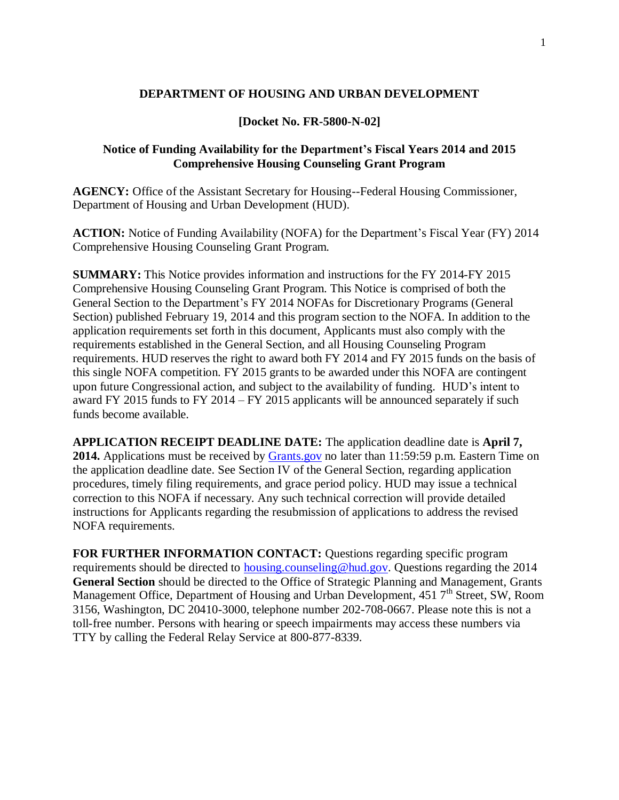#### **DEPARTMENT OF HOUSING AND URBAN DEVELOPMENT**

#### **[Docket No. FR-5800-N-02]**

### **Notice of Funding Availability for the Department's Fiscal Years 2014 and 2015 Comprehensive Housing Counseling Grant Program**

**AGENCY:** Office of the Assistant Secretary for Housing--Federal Housing Commissioner, Department of Housing and Urban Development (HUD).

**ACTION:** Notice of Funding Availability (NOFA) for the Department's Fiscal Year (FY) 2014 Comprehensive Housing Counseling Grant Program.

**SUMMARY:** This Notice provides information and instructions for the FY 2014-FY 2015 Comprehensive Housing Counseling Grant Program. This Notice is comprised of both the General Section to the Department's FY 2014 NOFAs for Discretionary Programs (General Section) published February 19, 2014 and this program section to the NOFA. In addition to the application requirements set forth in this document, Applicants must also comply with the requirements established in the General Section, and all Housing Counseling Program requirements. HUD reserves the right to award both FY 2014 and FY 2015 funds on the basis of this single NOFA competition. FY 2015 grants to be awarded under this NOFA are contingent upon future Congressional action, and subject to the availability of funding. HUD's intent to award FY 2015 funds to FY 2014 – FY 2015 applicants will be announced separately if such funds become available.

**APPLICATION RECEIPT DEADLINE DATE:** The application deadline date is **April 7, 2014.** Applications must be received by [Grants.gov](http://grants.gov/) no later than 11:59:59 p.m. Eastern Time on the application deadline date. See Section IV of the General Section, regarding application procedures, timely filing requirements, and grace period policy. HUD may issue a technical correction to this NOFA if necessary. Any such technical correction will provide detailed instructions for Applicants regarding the resubmission of applications to address the revised NOFA requirements.

**FOR FURTHER INFORMATION CONTACT:** Questions regarding specific program requirements should be directed to [housing.counseling@hud.gov.](mailto:housing.counseling@hud.gov) Questions regarding the 2014 **General Section** should be directed to the Office of Strategic Planning and Management, Grants Management Office, Department of Housing and Urban Development, 451 7<sup>th</sup> Street, SW, Room 3156, Washington, DC 20410-3000, telephone number 202-708-0667. Please note this is not a toll-free number. Persons with hearing or speech impairments may access these numbers via TTY by calling the Federal Relay Service at 800-877-8339.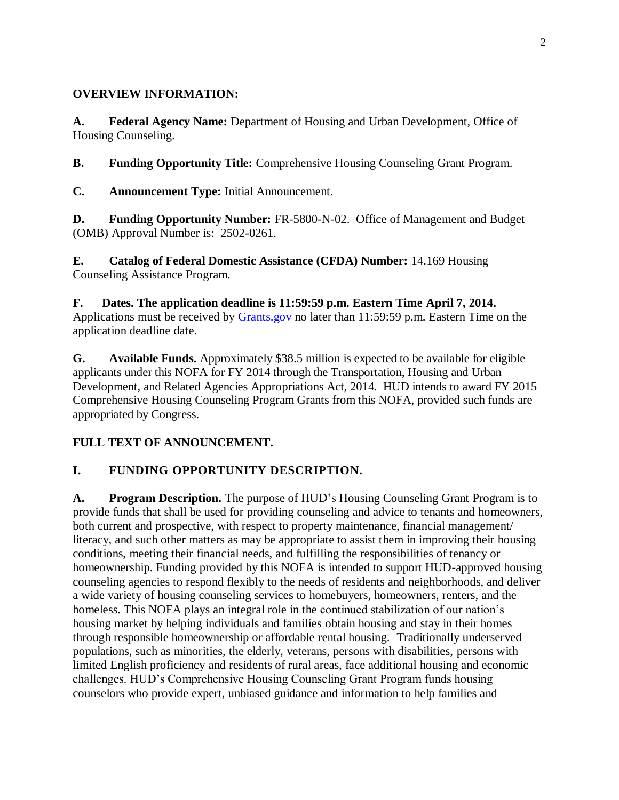### **OVERVIEW INFORMATION:**

**A. Federal Agency Name:** Department of Housing and Urban Development, Office of Housing Counseling.

**B. Funding Opportunity Title:** Comprehensive Housing Counseling Grant Program.

**C. Announcement Type:** Initial Announcement.

**D. Funding Opportunity Number:** FR-5800-N-02. Office of Management and Budget (OMB) Approval Number is: 2502-0261.

**E. Catalog of Federal Domestic Assistance (CFDA) Number:** 14.169 Housing Counseling Assistance Program.

**F. Dates. The application deadline is 11:59:59 p.m. Eastern Time April 7, 2014.**  Applications must be received by [Grants.gov](http://grants.gov/) no later than 11:59:59 p.m. Eastern Time on the application deadline date.

**G. Available Funds.** Approximately \$38.5 million is expected to be available for eligible applicants under this NOFA for FY 2014 through the Transportation, Housing and Urban Development, and Related Agencies Appropriations Act, 2014. HUD intends to award FY 2015 Comprehensive Housing Counseling Program Grants from this NOFA, provided such funds are appropriated by Congress.

# **FULL TEXT OF ANNOUNCEMENT.**

# **I. FUNDING OPPORTUNITY DESCRIPTION.**

**A. Program Description.** The purpose of HUD's Housing Counseling Grant Program is to provide funds that shall be used for providing counseling and advice to tenants and homeowners, both current and prospective, with respect to property maintenance, financial management/ literacy, and such other matters as may be appropriate to assist them in improving their housing conditions, meeting their financial needs, and fulfilling the responsibilities of tenancy or homeownership. Funding provided by this NOFA is intended to support HUD-approved housing counseling agencies to respond flexibly to the needs of residents and neighborhoods, and deliver a wide variety of housing counseling services to homebuyers, homeowners, renters, and the homeless. This NOFA plays an integral role in the continued stabilization of our nation's housing market by helping individuals and families obtain housing and stay in their homes through responsible homeownership or affordable rental housing. Traditionally underserved populations, such as minorities, the elderly, veterans, persons with disabilities, persons with limited English proficiency and residents of rural areas, face additional housing and economic challenges. HUD's Comprehensive Housing Counseling Grant Program funds housing counselors who provide expert, unbiased guidance and information to help families and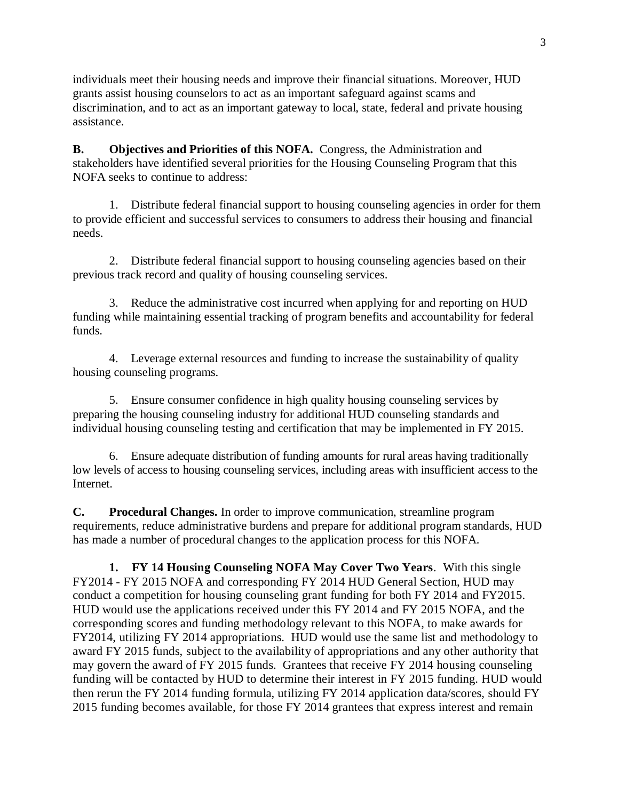individuals meet their housing needs and improve their financial situations. Moreover, HUD grants assist housing counselors to act as an important safeguard against scams and discrimination, and to act as an important gateway to local, state, federal and private housing assistance.

**B. Objectives and Priorities of this NOFA.** Congress, the Administration and stakeholders have identified several priorities for the Housing Counseling Program that this NOFA seeks to continue to address:

1. Distribute federal financial support to housing counseling agencies in order for them to provide efficient and successful services to consumers to address their housing and financial needs.

2. Distribute federal financial support to housing counseling agencies based on their previous track record and quality of housing counseling services.

3. Reduce the administrative cost incurred when applying for and reporting on HUD funding while maintaining essential tracking of program benefits and accountability for federal funds.

4. Leverage external resources and funding to increase the sustainability of quality housing counseling programs.

5. Ensure consumer confidence in high quality housing counseling services by preparing the housing counseling industry for additional HUD counseling standards and individual housing counseling testing and certification that may be implemented in FY 2015.

6. Ensure adequate distribution of funding amounts for rural areas having traditionally low levels of access to housing counseling services, including areas with insufficient access to the Internet.

**C. Procedural Changes.** In order to improve communication, streamline program requirements, reduce administrative burdens and prepare for additional program standards, HUD has made a number of procedural changes to the application process for this NOFA.

**1. FY 14 Housing Counseling NOFA May Cover Two Years**. With this single FY2014 - FY 2015 NOFA and corresponding FY 2014 HUD General Section, HUD may conduct a competition for housing counseling grant funding for both FY 2014 and FY2015. HUD would use the applications received under this FY 2014 and FY 2015 NOFA, and the corresponding scores and funding methodology relevant to this NOFA, to make awards for FY2014, utilizing FY 2014 appropriations. HUD would use the same list and methodology to award FY 2015 funds, subject to the availability of appropriations and any other authority that may govern the award of FY 2015 funds. Grantees that receive FY 2014 housing counseling funding will be contacted by HUD to determine their interest in FY 2015 funding. HUD would then rerun the FY 2014 funding formula, utilizing FY 2014 application data/scores, should FY 2015 funding becomes available, for those FY 2014 grantees that express interest and remain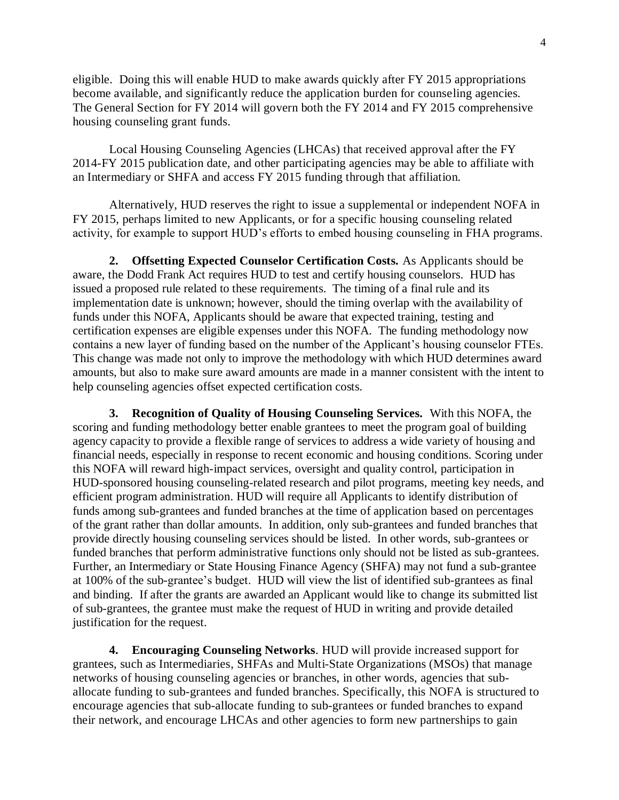eligible. Doing this will enable HUD to make awards quickly after FY 2015 appropriations become available, and significantly reduce the application burden for counseling agencies. The General Section for FY 2014 will govern both the FY 2014 and FY 2015 comprehensive housing counseling grant funds.

Local Housing Counseling Agencies (LHCAs) that received approval after the FY 2014-FY 2015 publication date, and other participating agencies may be able to affiliate with an Intermediary or SHFA and access FY 2015 funding through that affiliation.

Alternatively, HUD reserves the right to issue a supplemental or independent NOFA in FY 2015, perhaps limited to new Applicants, or for a specific housing counseling related activity, for example to support HUD's efforts to embed housing counseling in FHA programs.

**2. Offsetting Expected Counselor Certification Costs.** As Applicants should be aware, the Dodd Frank Act requires HUD to test and certify housing counselors. HUD has issued a proposed rule related to these requirements. The timing of a final rule and its implementation date is unknown; however, should the timing overlap with the availability of funds under this NOFA, Applicants should be aware that expected training, testing and certification expenses are eligible expenses under this NOFA. The funding methodology now contains a new layer of funding based on the number of the Applicant's housing counselor FTEs. This change was made not only to improve the methodology with which HUD determines award amounts, but also to make sure award amounts are made in a manner consistent with the intent to help counseling agencies offset expected certification costs.

**3. Recognition of Quality of Housing Counseling Services.** With this NOFA, the scoring and funding methodology better enable grantees to meet the program goal of building agency capacity to provide a flexible range of services to address a wide variety of housing and financial needs, especially in response to recent economic and housing conditions. Scoring under this NOFA will reward high-impact services, oversight and quality control, participation in HUD-sponsored housing counseling-related research and pilot programs, meeting key needs, and efficient program administration. HUD will require all Applicants to identify distribution of funds among sub-grantees and funded branches at the time of application based on percentages of the grant rather than dollar amounts. In addition, only sub-grantees and funded branches that provide directly housing counseling services should be listed. In other words, sub-grantees or funded branches that perform administrative functions only should not be listed as sub-grantees. Further, an Intermediary or State Housing Finance Agency (SHFA) may not fund a sub-grantee at 100% of the sub-grantee's budget. HUD will view the list of identified sub-grantees as final and binding. If after the grants are awarded an Applicant would like to change its submitted list of sub-grantees, the grantee must make the request of HUD in writing and provide detailed justification for the request.

**4. Encouraging Counseling Networks**. HUD will provide increased support for grantees, such as Intermediaries, SHFAs and Multi-State Organizations (MSOs) that manage networks of housing counseling agencies or branches, in other words, agencies that suballocate funding to sub-grantees and funded branches. Specifically, this NOFA is structured to encourage agencies that sub-allocate funding to sub-grantees or funded branches to expand their network, and encourage LHCAs and other agencies to form new partnerships to gain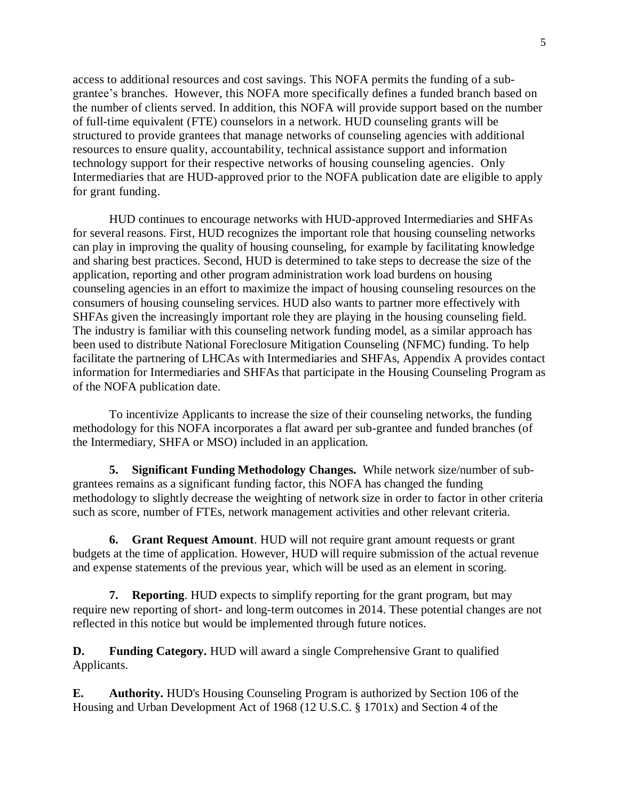access to additional resources and cost savings. This NOFA permits the funding of a subgrantee's branches. However, this NOFA more specifically defines a funded branch based on the number of clients served. In addition, this NOFA will provide support based on the number of full-time equivalent (FTE) counselors in a network. HUD counseling grants will be structured to provide grantees that manage networks of counseling agencies with additional resources to ensure quality, accountability, technical assistance support and information technology support for their respective networks of housing counseling agencies. Only Intermediaries that are HUD-approved prior to the NOFA publication date are eligible to apply for grant funding.

HUD continues to encourage networks with HUD-approved Intermediaries and SHFAs for several reasons. First, HUD recognizes the important role that housing counseling networks can play in improving the quality of housing counseling, for example by facilitating knowledge and sharing best practices. Second, HUD is determined to take steps to decrease the size of the application, reporting and other program administration work load burdens on housing counseling agencies in an effort to maximize the impact of housing counseling resources on the consumers of housing counseling services. HUD also wants to partner more effectively with SHFAs given the increasingly important role they are playing in the housing counseling field. The industry is familiar with this counseling network funding model, as a similar approach has been used to distribute National Foreclosure Mitigation Counseling (NFMC) funding. To help facilitate the partnering of LHCAs with Intermediaries and SHFAs, Appendix A provides contact information for Intermediaries and SHFAs that participate in the Housing Counseling Program as of the NOFA publication date.

To incentivize Applicants to increase the size of their counseling networks, the funding methodology for this NOFA incorporates a flat award per sub-grantee and funded branches (of the Intermediary, SHFA or MSO) included in an application.

**5. Significant Funding Methodology Changes.** While network size/number of subgrantees remains as a significant funding factor, this NOFA has changed the funding methodology to slightly decrease the weighting of network size in order to factor in other criteria such as score, number of FTEs, network management activities and other relevant criteria.

**6. Grant Request Amount**. HUD will not require grant amount requests or grant budgets at the time of application. However, HUD will require submission of the actual revenue and expense statements of the previous year, which will be used as an element in scoring.

**7. Reporting**. HUD expects to simplify reporting for the grant program, but may require new reporting of short- and long-term outcomes in 2014. These potential changes are not reflected in this notice but would be implemented through future notices.

**D. Funding Category.** HUD will award a single Comprehensive Grant to qualified Applicants.

**E. Authority.** HUD's Housing Counseling Program is authorized by Section 106 of the Housing and Urban Development Act of 1968 (12 U.S.C. § 1701x) and Section 4 of the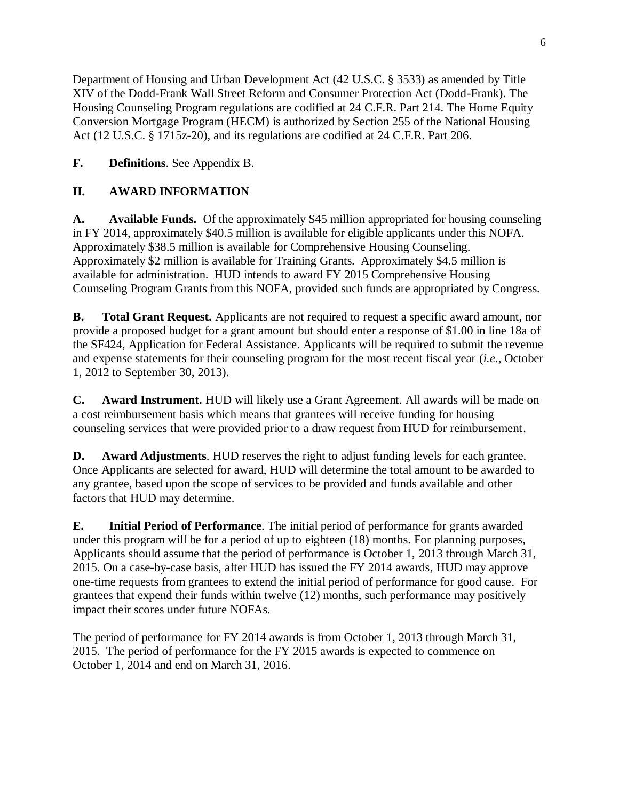Department of Housing and Urban Development Act (42 U.S.C. § 3533) as amended by Title XIV of the Dodd-Frank Wall Street Reform and Consumer Protection Act (Dodd-Frank). The Housing Counseling Program regulations are codified at 24 C.F.R. Part 214. The Home Equity Conversion Mortgage Program (HECM) is authorized by Section 255 of the National Housing Act (12 U.S.C. § 1715z-20), and its regulations are codified at 24 C.F.R. Part 206.

# **F. Definitions**. See Appendix B.

# **II. AWARD INFORMATION**

**A. Available Funds.** Of the approximately \$45 million appropriated for housing counseling in FY 2014, approximately \$40.5 million is available for eligible applicants under this NOFA. Approximately \$38.5 million is available for Comprehensive Housing Counseling. Approximately \$2 million is available for Training Grants. Approximately \$4.5 million is available for administration. HUD intends to award FY 2015 Comprehensive Housing Counseling Program Grants from this NOFA, provided such funds are appropriated by Congress.

**B. Total Grant Request.** Applicants are <u>not</u> required to request a specific award amount, nor provide a proposed budget for a grant amount but should enter a response of \$1.00 in line 18a of the SF424, Application for Federal Assistance. Applicants will be required to submit the revenue and expense statements for their counseling program for the most recent fiscal year (*i.e.*, October 1, 2012 to September 30, 2013).

**C. Award Instrument.** HUD will likely use a Grant Agreement. All awards will be made on a cost reimbursement basis which means that grantees will receive funding for housing counseling services that were provided prior to a draw request from HUD for reimbursement.

**D. Award Adjustments**. HUD reserves the right to adjust funding levels for each grantee. Once Applicants are selected for award, HUD will determine the total amount to be awarded to any grantee, based upon the scope of services to be provided and funds available and other factors that HUD may determine.

**E. Initial Period of Performance**. The initial period of performance for grants awarded under this program will be for a period of up to eighteen (18) months. For planning purposes, Applicants should assume that the period of performance is October 1, 2013 through March 31, 2015. On a case-by-case basis, after HUD has issued the FY 2014 awards, HUD may approve one-time requests from grantees to extend the initial period of performance for good cause. For grantees that expend their funds within twelve (12) months, such performance may positively impact their scores under future NOFAs.

The period of performance for FY 2014 awards is from October 1, 2013 through March 31, 2015. The period of performance for the FY 2015 awards is expected to commence on October 1, 2014 and end on March 31, 2016.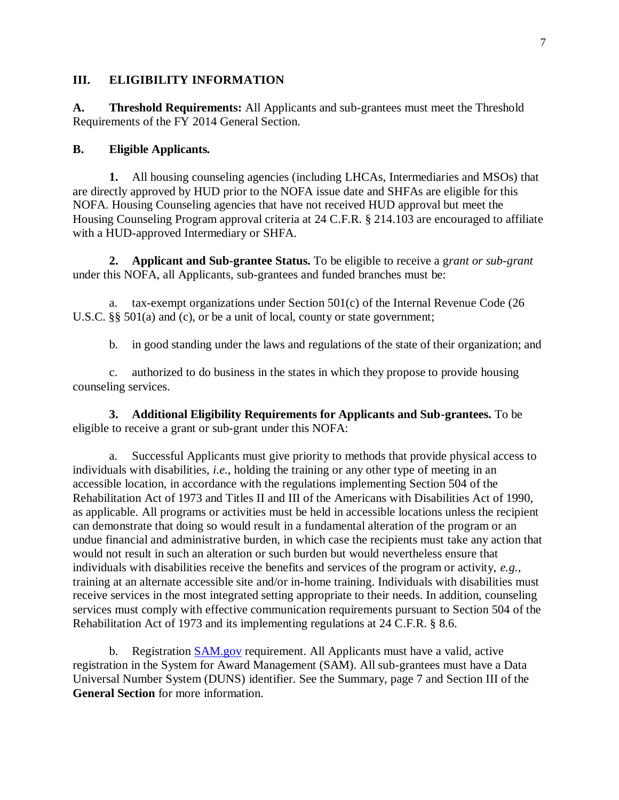#### **III. ELIGIBILITY INFORMATION**

**A. Threshold Requirements:** All Applicants and sub-grantees must meet the Threshold Requirements of the FY 2014 General Section.

#### **B. Eligible Applicants.**

**1.** All housing counseling agencies (including LHCAs, Intermediaries and MSOs) that are directly approved by HUD prior to the NOFA issue date and SHFAs are eligible for this NOFA. Housing Counseling agencies that have not received HUD approval but meet the Housing Counseling Program approval criteria at 24 C.F.R. § 214.103 are encouraged to affiliate with a HUD-approved Intermediary or SHFA.

**2. Applicant and Sub-grantee Status.** To be eligible to receive a g*rant or sub-grant*  under this NOFA, all Applicants, sub-grantees and funded branches must be:

a. tax-exempt organizations under Section 501(c) of the Internal Revenue Code (26 U.S.C. §§ 501(a) and (c), or be a unit of local, county or state government;

b. in good standing under the laws and regulations of the state of their organization; and

c. authorized to do business in the states in which they propose to provide housing counseling services.

**3. Additional Eligibility Requirements for Applicants and Sub-grantees.** To be eligible to receive a grant or sub-grant under this NOFA:

a. Successful Applicants must give priority to methods that provide physical access to individuals with disabilities, *i.e.*, holding the training or any other type of meeting in an accessible location, in accordance with the regulations implementing Section 504 of the Rehabilitation Act of 1973 and Titles II and III of the Americans with Disabilities Act of 1990, as applicable. All programs or activities must be held in accessible locations unless the recipient can demonstrate that doing so would result in a fundamental alteration of the program or an undue financial and administrative burden, in which case the recipients must take any action that would not result in such an alteration or such burden but would nevertheless ensure that individuals with disabilities receive the benefits and services of the program or activity, *e.g.*, training at an alternate accessible site and/or in-home training. Individuals with disabilities must receive services in the most integrated setting appropriate to their needs. In addition, counseling services must comply with effective communication requirements pursuant to Section 504 of the Rehabilitation Act of 1973 and its implementing regulations at 24 C.F.R. § 8.6.

b. Registration [SAM.gov](http://sam.gov/) requirement. All Applicants must have a valid, active registration in the System for Award Management (SAM). All sub-grantees must have a Data Universal Number System (DUNS) identifier. See the Summary, page 7 and Section III of the **General Section** for more information.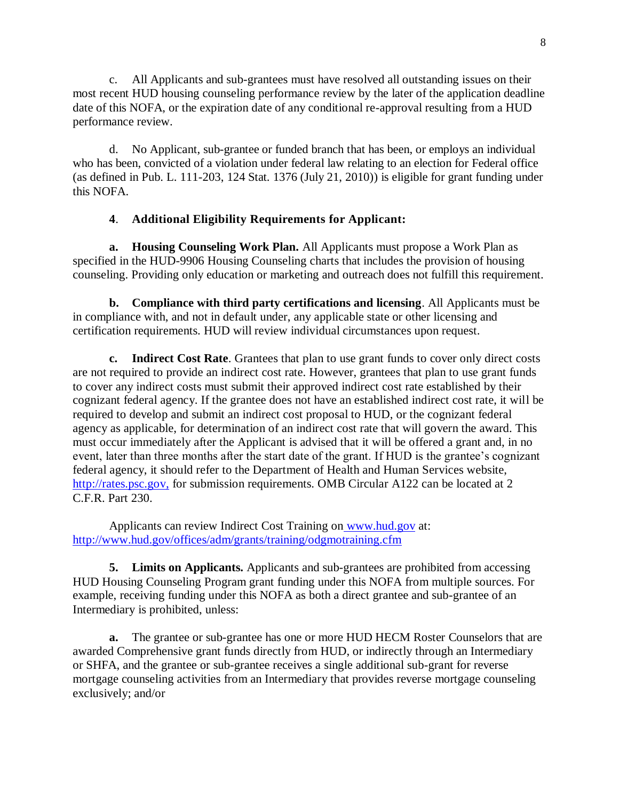c. All Applicants and sub-grantees must have resolved all outstanding issues on their most recent HUD housing counseling performance review by the later of the application deadline date of this NOFA, or the expiration date of any conditional re-approval resulting from a HUD performance review.

d. No Applicant, sub-grantee or funded branch that has been, or employs an individual who has been, convicted of a violation under federal law relating to an election for Federal office (as defined in Pub. L. 111-203, 124 Stat. 1376 (July 21, 2010)) is eligible for grant funding under this NOFA.

## **4**. **Additional Eligibility Requirements for Applicant:**

**a. Housing Counseling Work Plan.** All Applicants must propose a Work Plan as specified in the HUD-9906 Housing Counseling charts that includes the provision of housing counseling. Providing only education or marketing and outreach does not fulfill this requirement.

**b. Compliance with third party certifications and licensing**. All Applicants must be in compliance with, and not in default under, any applicable state or other licensing and certification requirements. HUD will review individual circumstances upon request.

**c. Indirect Cost Rate**. Grantees that plan to use grant funds to cover only direct costs are not required to provide an indirect cost rate. However, grantees that plan to use grant funds to cover any indirect costs must submit their approved indirect cost rate established by their cognizant federal agency. If the grantee does not have an established indirect cost rate, it will be required to develop and submit an indirect cost proposal to HUD, or the cognizant federal agency as applicable, for determination of an indirect cost rate that will govern the award. This must occur immediately after the Applicant is advised that it will be offered a grant and, in no event, later than three months after the start date of the grant. If HUD is the grantee's cognizant federal agency, it should refer to the Department of Health and Human Services website, [http://rates.psc.gov,](http://rates.psc.gov/) for submission requirements. OMB Circular A122 can be located at 2 C.F.R. Part 230.

Applicants can review Indirect Cost Training on [www.hud.gov](http://www.hud.gov/) at: <http://www.hud.gov/offices/adm/grants/training/odgmotraining.cfm>

**5. Limits on Applicants.** Applicants and sub-grantees are prohibited from accessing HUD Housing Counseling Program grant funding under this NOFA from multiple sources. For example, receiving funding under this NOFA as both a direct grantee and sub-grantee of an Intermediary is prohibited, unless:

**a.** The grantee or sub-grantee has one or more HUD HECM Roster Counselors that are awarded Comprehensive grant funds directly from HUD, or indirectly through an Intermediary or SHFA, and the grantee or sub-grantee receives a single additional sub-grant for reverse mortgage counseling activities from an Intermediary that provides reverse mortgage counseling exclusively; and/or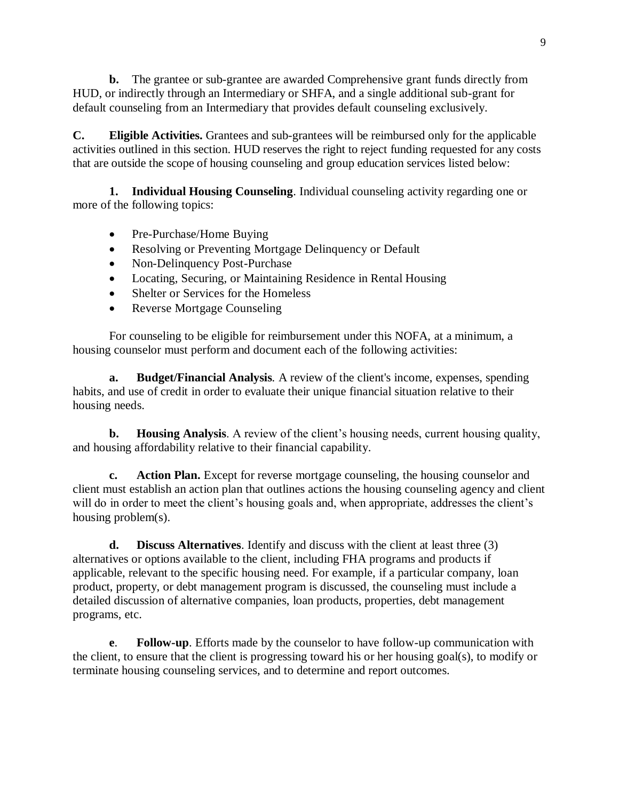**b.** The grantee or sub-grantee are awarded Comprehensive grant funds directly from HUD, or indirectly through an Intermediary or SHFA, and a single additional sub-grant for default counseling from an Intermediary that provides default counseling exclusively.

**C. Eligible Activities.** Grantees and sub-grantees will be reimbursed only for the applicable activities outlined in this section. HUD reserves the right to reject funding requested for any costs that are outside the scope of housing counseling and group education services listed below:

**1. Individual Housing Counseling**. Individual counseling activity regarding one or more of the following topics:

- Pre-Purchase/Home Buying
- Resolving or Preventing Mortgage Delinquency or Default
- Non-Delinquency Post-Purchase
- Locating, Securing, or Maintaining Residence in Rental Housing
- Shelter or Services for the Homeless
- Reverse Mortgage Counseling

For counseling to be eligible for reimbursement under this NOFA, at a minimum, a housing counselor must perform and document each of the following activities:

**a. Budget/Financial Analysis***.* A review of the client's income, expenses, spending habits, and use of credit in order to evaluate their unique financial situation relative to their housing needs.

**b. Housing Analysis**. A review of the client's housing needs, current housing quality, and housing affordability relative to their financial capability.

**c. Action Plan.** Except for reverse mortgage counseling, the housing counselor and client must establish an action plan that outlines actions the housing counseling agency and client will do in order to meet the client's housing goals and, when appropriate, addresses the client's housing problem(s).

**d. Discuss Alternatives**. Identify and discuss with the client at least three (3) alternatives or options available to the client, including FHA programs and products if applicable, relevant to the specific housing need. For example, if a particular company, loan product, property, or debt management program is discussed, the counseling must include a detailed discussion of alternative companies, loan products, properties, debt management programs, etc.

**e**. **Follow-up**. Efforts made by the counselor to have follow-up communication with the client, to ensure that the client is progressing toward his or her housing goal(s), to modify or terminate housing counseling services, and to determine and report outcomes.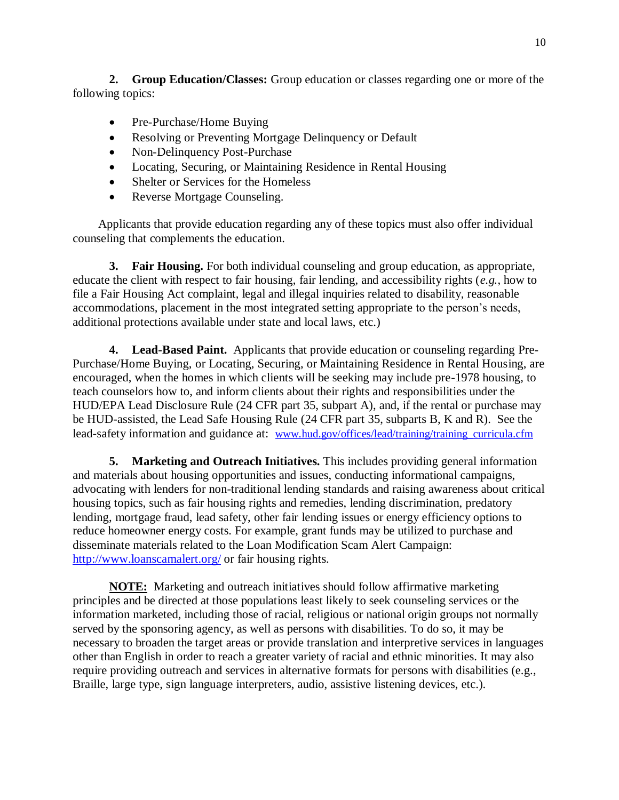**2. Group Education/Classes:** Group education or classes regarding one or more of the following topics:

- Pre-Purchase/Home Buying
- Resolving or Preventing Mortgage Delinquency or Default
- Non-Delinquency Post-Purchase
- Locating, Securing, or Maintaining Residence in Rental Housing
- Shelter or Services for the Homeless
- Reverse Mortgage Counseling.

Applicants that provide education regarding any of these topics must also offer individual counseling that complements the education.

**3. Fair Housing.** For both individual counseling and group education, as appropriate, educate the client with respect to fair housing, fair lending, and accessibility rights (*e.g.*, how to file a Fair Housing Act complaint, legal and illegal inquiries related to disability, reasonable accommodations, placement in the most integrated setting appropriate to the person's needs, additional protections available under state and local laws, etc.)

**4. Lead-Based Paint.** Applicants that provide education or counseling regarding Pre-Purchase/Home Buying, or Locating, Securing, or Maintaining Residence in Rental Housing, are encouraged, when the homes in which clients will be seeking may include pre-1978 housing, to teach counselors how to, and inform clients about their rights and responsibilities under the HUD/EPA Lead Disclosure Rule (24 CFR part 35, subpart A), and, if the rental or purchase may be HUD-assisted, the Lead Safe Housing Rule (24 CFR part 35, subparts B, K and R). See the lead-safety information and guidance at: [www.hud.gov/offices/lead/training/training\\_curricula.cfm](http://www.hud.gov/offices/lead/training/training_curricula.cfm)

**5. Marketing and Outreach Initiatives.** This includes providing general information and materials about housing opportunities and issues, conducting informational campaigns, advocating with lenders for non-traditional lending standards and raising awareness about critical housing topics, such as fair housing rights and remedies, lending discrimination, predatory lending, mortgage fraud, lead safety, other fair lending issues or energy efficiency options to reduce homeowner energy costs. For example, grant funds may be utilized to purchase and disseminate materials related to the Loan Modification Scam Alert Campaign: http://www.loanscamalert.org/ or fair housing rights.

**NOTE:** Marketing and outreach initiatives should follow affirmative marketing principles and be directed at those populations least likely to seek counseling services or the information marketed, including those of racial, religious or national origin groups not normally served by the sponsoring agency, as well as persons with disabilities. To do so, it may be necessary to broaden the target areas or provide translation and interpretive services in languages other than English in order to reach a greater variety of racial and ethnic minorities. It may also require providing outreach and services in alternative formats for persons with disabilities (e.g., Braille, large type, sign language interpreters, audio, assistive listening devices, etc.).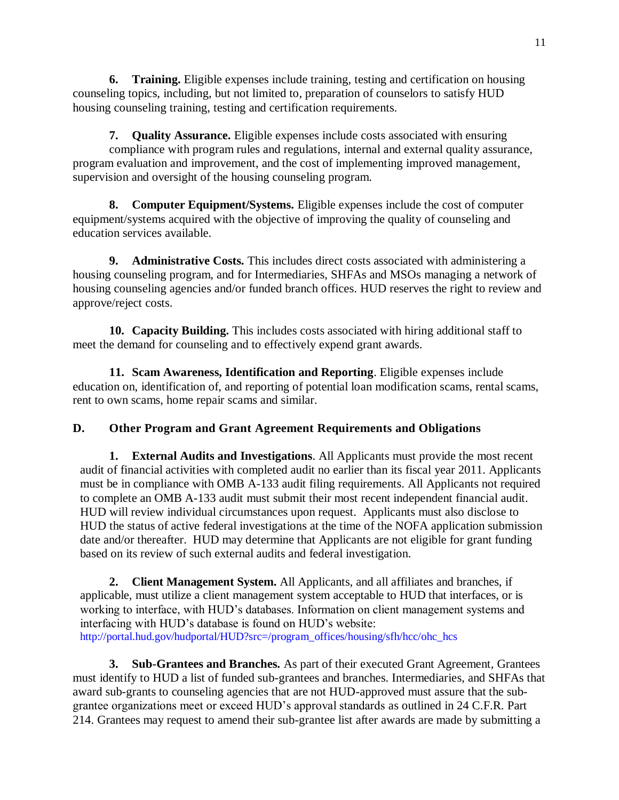**6. Training.** Eligible expenses include training, testing and certification on housing counseling topics, including, but not limited to, preparation of counselors to satisfy HUD housing counseling training, testing and certification requirements.

**7. Quality Assurance.** Eligible expenses include costs associated with ensuring compliance with program rules and regulations, internal and external quality assurance, program evaluation and improvement, and the cost of implementing improved management, supervision and oversight of the housing counseling program.

**8. Computer Equipment/Systems.** Eligible expenses include the cost of computer equipment/systems acquired with the objective of improving the quality of counseling and education services available.

**9. Administrative Costs.** This includes direct costs associated with administering a housing counseling program, and for Intermediaries, SHFAs and MSOs managing a network of housing counseling agencies and/or funded branch offices. HUD reserves the right to review and approve/reject costs.

**10. Capacity Building.** This includes costs associated with hiring additional staff to meet the demand for counseling and to effectively expend grant awards.

**11. Scam Awareness, Identification and Reporting**. Eligible expenses include education on, identification of, and reporting of potential loan modification scams, rental scams, rent to own scams, home repair scams and similar.

# **D. Other Program and Grant Agreement Requirements and Obligations**

**1. External Audits and Investigations**. All Applicants must provide the most recent audit of financial activities with completed audit no earlier than its fiscal year 2011. Applicants must be in compliance with OMB A-133 audit filing requirements. All Applicants not required to complete an OMB A-133 audit must submit their most recent independent financial audit. HUD will review individual circumstances upon request. Applicants must also disclose to HUD the status of active federal investigations at the time of the NOFA application submission date and/or thereafter. HUD may determine that Applicants are not eligible for grant funding based on its review of such external audits and federal investigation.

**2. Client Management System.** All Applicants, and all affiliates and branches, if applicable, must utilize a client management system acceptable to HUD that interfaces, or is working to interface, with HUD's databases. Information on client management systems and interfacing with HUD's database is found on HUD's website: http://portal.hud.gov/hudportal/HUD?src=/program\_offices/housing/sfh/hcc/ohc\_hcs

**3. Sub-Grantees and Branches.** As part of their executed Grant Agreement, Grantees must identify to HUD a list of funded sub-grantees and branches. Intermediaries, and SHFAs that award sub-grants to counseling agencies that are not HUD-approved must assure that the subgrantee organizations meet or exceed HUD's approval standards as outlined in 24 C.F.R. Part 214. Grantees may request to amend their sub-grantee list after awards are made by submitting a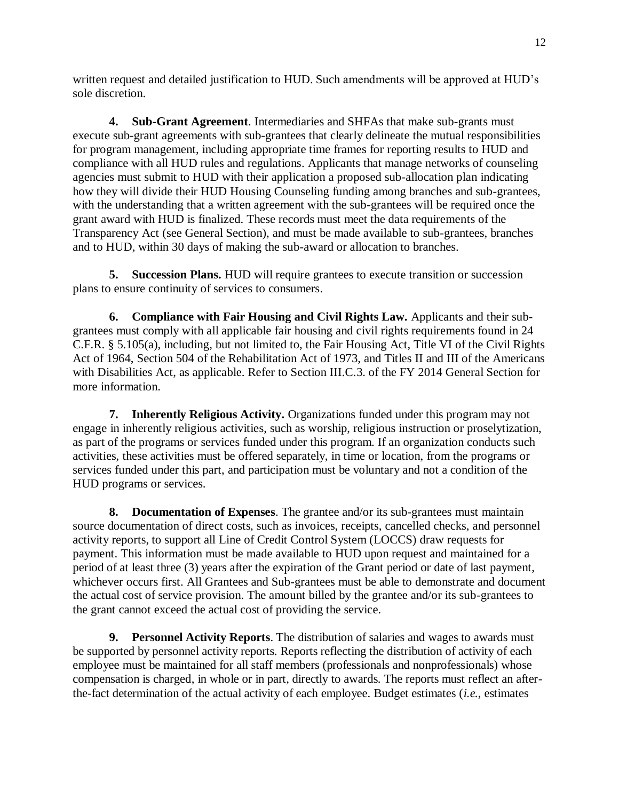written request and detailed justification to HUD. Such amendments will be approved at HUD's sole discretion.

**4. Sub-Grant Agreement**. Intermediaries and SHFAs that make sub-grants must execute sub-grant agreements with sub-grantees that clearly delineate the mutual responsibilities for program management, including appropriate time frames for reporting results to HUD and compliance with all HUD rules and regulations. Applicants that manage networks of counseling agencies must submit to HUD with their application a proposed sub-allocation plan indicating how they will divide their HUD Housing Counseling funding among branches and sub-grantees, with the understanding that a written agreement with the sub-grantees will be required once the grant award with HUD is finalized. These records must meet the data requirements of the Transparency Act (see General Section), and must be made available to sub-grantees, branches and to HUD, within 30 days of making the sub-award or allocation to branches.

**5. Succession Plans.** HUD will require grantees to execute transition or succession plans to ensure continuity of services to consumers.

**6. Compliance with Fair Housing and Civil Rights Law.** Applicants and their subgrantees must comply with all applicable fair housing and civil rights requirements found in 24 C.F.R. § 5.105(a), including, but not limited to, the Fair Housing Act, Title VI of the Civil Rights Act of 1964, Section 504 of the Rehabilitation Act of 1973, and Titles II and III of the Americans with Disabilities Act, as applicable. Refer to Section III.C.3. of the FY 2014 General Section for more information.

**7. Inherently Religious Activity.** Organizations funded under this program may not engage in inherently religious activities, such as worship, religious instruction or proselytization, as part of the programs or services funded under this program. If an organization conducts such activities, these activities must be offered separately, in time or location, from the programs or services funded under this part, and participation must be voluntary and not a condition of the HUD programs or services.

**8. Documentation of Expenses**. The grantee and/or its sub-grantees must maintain source documentation of direct costs, such as invoices, receipts, cancelled checks, and personnel activity reports, to support all Line of Credit Control System (LOCCS) draw requests for payment. This information must be made available to HUD upon request and maintained for a period of at least three (3) years after the expiration of the Grant period or date of last payment, whichever occurs first. All Grantees and Sub-grantees must be able to demonstrate and document the actual cost of service provision. The amount billed by the grantee and/or its sub-grantees to the grant cannot exceed the actual cost of providing the service.

**9. Personnel Activity Reports**. The distribution of salaries and wages to awards must be supported by personnel activity reports. Reports reflecting the distribution of activity of each employee must be maintained for all staff members (professionals and nonprofessionals) whose compensation is charged, in whole or in part, directly to awards. The reports must reflect an afterthe-fact determination of the actual activity of each employee. Budget estimates (*i.e.*, estimates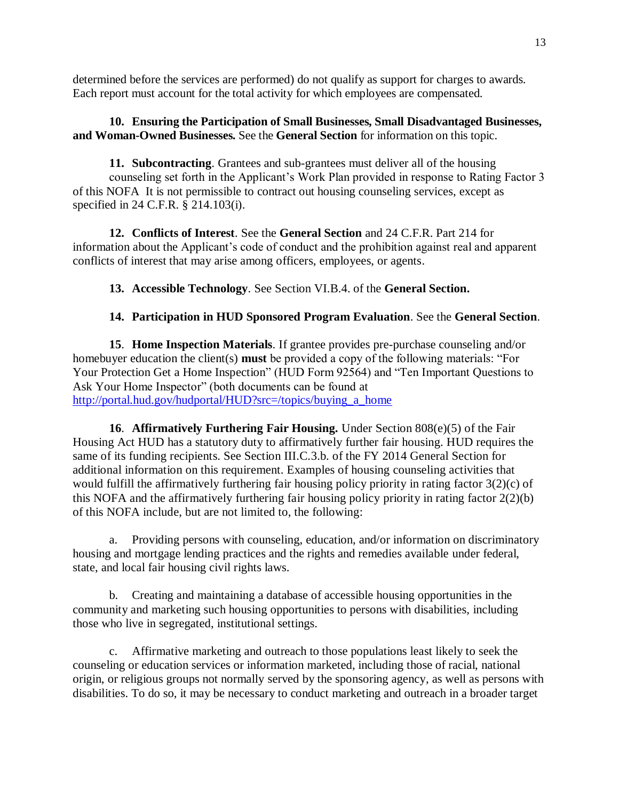determined before the services are performed) do not qualify as support for charges to awards. Each report must account for the total activity for which employees are compensated.

### **10. Ensuring the Participation of Small Businesses, Small Disadvantaged Businesses, and Woman-Owned Businesses.** See the **General Section** for information on this topic.

**11. Subcontracting**. Grantees and sub-grantees must deliver all of the housing counseling set forth in the Applicant's Work Plan provided in response to Rating Factor 3 of this NOFA It is not permissible to contract out housing counseling services, except as specified in 24 C.F.R. § 214.103(i).

**12. Conflicts of Interest**. See the **General Section** and 24 C.F.R. Part 214 for information about the Applicant's code of conduct and the prohibition against real and apparent conflicts of interest that may arise among officers, employees, or agents.

**13. Accessible Technology**. See Section VI.B.4. of the **General Section.**

# **14. Participation in HUD Sponsored Program Evaluation**. See the **General Section**.

**15**. **Home Inspection Materials**. If grantee provides pre-purchase counseling and/or homebuyer education the client(s) **must** be provided a copy of the following materials: "For Your Protection Get a Home Inspection" (HUD Form 92564) and "Ten Important Questions to Ask Your Home Inspector" (both documents can be found at [http://portal.hud.gov/hudportal/HUD?src=/topics/buying\\_a\\_home](http://portal.hud.gov/hudportal/HUD?src=/topics/buying_a_home)

**16**. **Affirmatively Furthering Fair Housing.** Under Section 808(e)(5) of the Fair Housing Act HUD has a statutory duty to affirmatively further fair housing. HUD requires the same of its funding recipients. See Section III.C.3.b. of the FY 2014 General Section for additional information on this requirement. Examples of housing counseling activities that would fulfill the affirmatively furthering fair housing policy priority in rating factor 3(2)(c) of this NOFA and the affirmatively furthering fair housing policy priority in rating factor 2(2)(b) of this NOFA include, but are not limited to, the following:

a. Providing persons with counseling, education, and/or information on discriminatory housing and mortgage lending practices and the rights and remedies available under federal, state, and local fair housing civil rights laws.

b. Creating and maintaining a database of accessible housing opportunities in the community and marketing such housing opportunities to persons with disabilities, including those who live in segregated, institutional settings.

c. Affirmative marketing and outreach to those populations least likely to seek the counseling or education services or information marketed, including those of racial, national origin, or religious groups not normally served by the sponsoring agency, as well as persons with disabilities. To do so, it may be necessary to conduct marketing and outreach in a broader target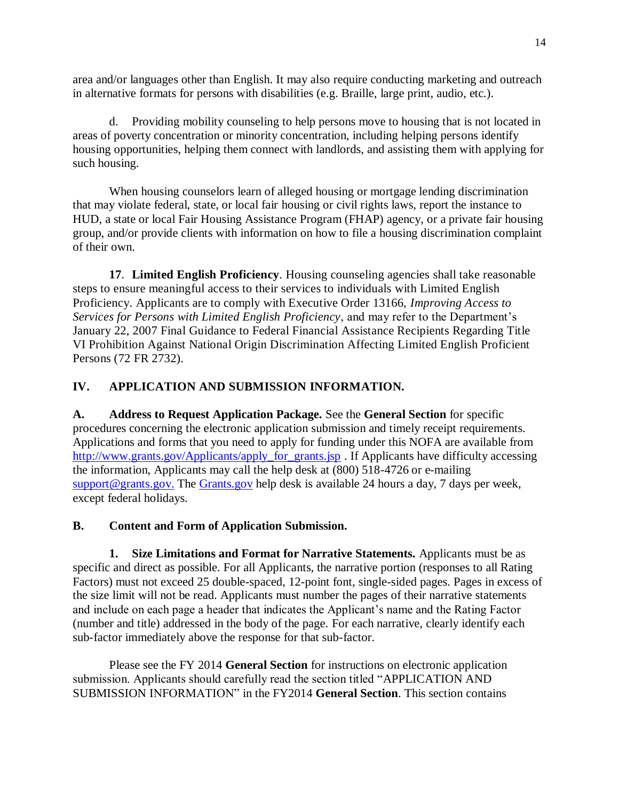area and/or languages other than English. It may also require conducting marketing and outreach in alternative formats for persons with disabilities (e.g. Braille, large print, audio, etc.).

d. Providing mobility counseling to help persons move to housing that is not located in areas of poverty concentration or minority concentration, including helping persons identify housing opportunities, helping them connect with landlords, and assisting them with applying for such housing.

When housing counselors learn of alleged housing or mortgage lending discrimination that may violate federal, state, or local fair housing or civil rights laws, report the instance to HUD, a state or local Fair Housing Assistance Program (FHAP) agency, or a private fair housing group, and/or provide clients with information on how to file a housing discrimination complaint of their own.

**17**. **Limited English Proficiency**. Housing counseling agencies shall take reasonable steps to ensure meaningful access to their services to individuals with Limited English Proficiency. Applicants are to comply with Executive Order 13166, *Improving Access to Services for Persons with Limited English Proficiency*, and may refer to the Department's January 22, 2007 Final Guidance to Federal Financial Assistance Recipients Regarding Title VI Prohibition Against National Origin Discrimination Affecting Limited English Proficient Persons (72 FR 2732).

## **IV. APPLICATION AND SUBMISSION INFORMATION.**

**A. Address to Request Application Package.** See the **General Section** for specific procedures concerning the electronic application submission and timely receipt requirements. Applications and forms that you need to apply for funding under this NOFA are available from http://www.grants.gov/Applicants/apply for grants.jsp . If Applicants have difficulty accessing the information, Applicants may call the help desk at (800) 518-4726 or e-mailing [support@grants.gov.](mailto:support@grants.gov) The [Grants.gov](http://grants.gov/) help desk is available 24 hours a day, 7 days per week, except federal holidays.

### **B. Content and Form of Application Submission.**

**1. Size Limitations and Format for Narrative Statements.** Applicants must be as specific and direct as possible. For all Applicants, the narrative portion (responses to all Rating Factors) must not exceed 25 double-spaced, 12-point font, single-sided pages. Pages in excess of the size limit will not be read. Applicants must number the pages of their narrative statements and include on each page a header that indicates the Applicant's name and the Rating Factor (number and title) addressed in the body of the page. For each narrative, clearly identify each sub-factor immediately above the response for that sub-factor.

Please see the FY 2014 **General Section** for instructions on electronic application submission. Applicants should carefully read the section titled "APPLICATION AND SUBMISSION INFORMATION" in the FY2014 **General Section**. This section contains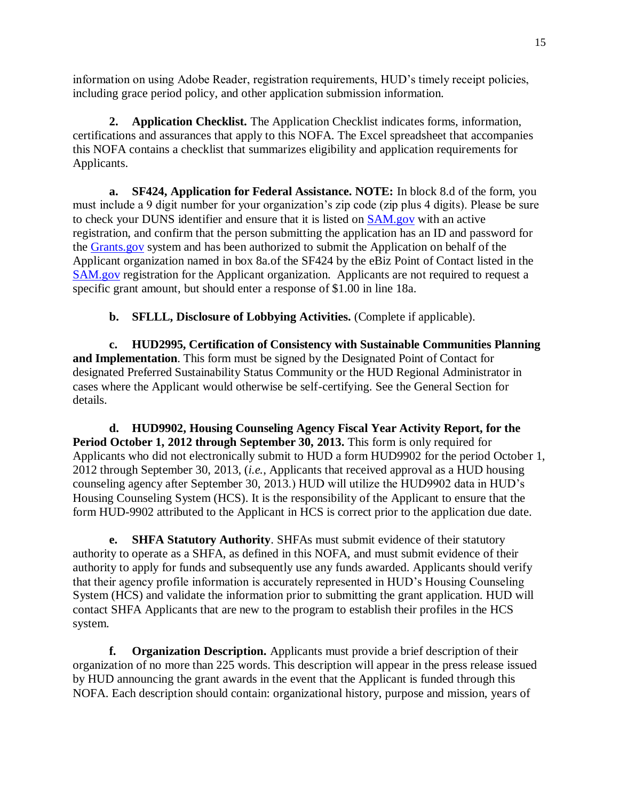information on using Adobe Reader, registration requirements, HUD's timely receipt policies, including grace period policy, and other application submission information.

**2. Application Checklist.** The Application Checklist indicates forms, information, certifications and assurances that apply to this NOFA. The Excel spreadsheet that accompanies this NOFA contains a checklist that summarizes eligibility and application requirements for Applicants.

**a. SF424, Application for Federal Assistance. NOTE:** In block 8.d of the form, you must include a 9 digit number for your organization's zip code (zip plus 4 digits). Please be sure to check your DUNS identifier and ensure that it is listed on [SAM.gov](http://sam.gov/) with an active registration, and confirm that the person submitting the application has an ID and password for the [Grants.gov](http://grants.gov/) system and has been authorized to submit the Application on behalf of the Applicant organization named in box 8a.of the SF424 by the eBiz Point of Contact listed in the [SAM.gov](http://sam.gov/) registration for the Applicant organization. Applicants are not required to request a specific grant amount, but should enter a response of \$1.00 in line 18a.

**b. SFLLL, Disclosure of Lobbying Activities.** (Complete if applicable).

**c. HUD2995, Certification of Consistency with Sustainable Communities Planning and Implementation**. This form must be signed by the Designated Point of Contact for designated Preferred Sustainability Status Community or the HUD Regional Administrator in cases where the Applicant would otherwise be self-certifying. See the General Section for details.

**d. HUD9902, Housing Counseling Agency Fiscal Year Activity Report, for the Period October 1, 2012 through September 30, 2013.** This form is only required for Applicants who did not electronically submit to HUD a form HUD9902 for the period October 1, 2012 through September 30, 2013, (*i.e.*, Applicants that received approval as a HUD housing counseling agency after September 30, 2013.) HUD will utilize the HUD9902 data in HUD's Housing Counseling System (HCS). It is the responsibility of the Applicant to ensure that the form HUD-9902 attributed to the Applicant in HCS is correct prior to the application due date.

**e. SHFA Statutory Authority**. SHFAs must submit evidence of their statutory authority to operate as a SHFA, as defined in this NOFA, and must submit evidence of their authority to apply for funds and subsequently use any funds awarded. Applicants should verify that their agency profile information is accurately represented in HUD's Housing Counseling System (HCS) and validate the information prior to submitting the grant application. HUD will contact SHFA Applicants that are new to the program to establish their profiles in the HCS system.

**f. Organization Description.** Applicants must provide a brief description of their organization of no more than 225 words. This description will appear in the press release issued by HUD announcing the grant awards in the event that the Applicant is funded through this NOFA. Each description should contain: organizational history, purpose and mission, years of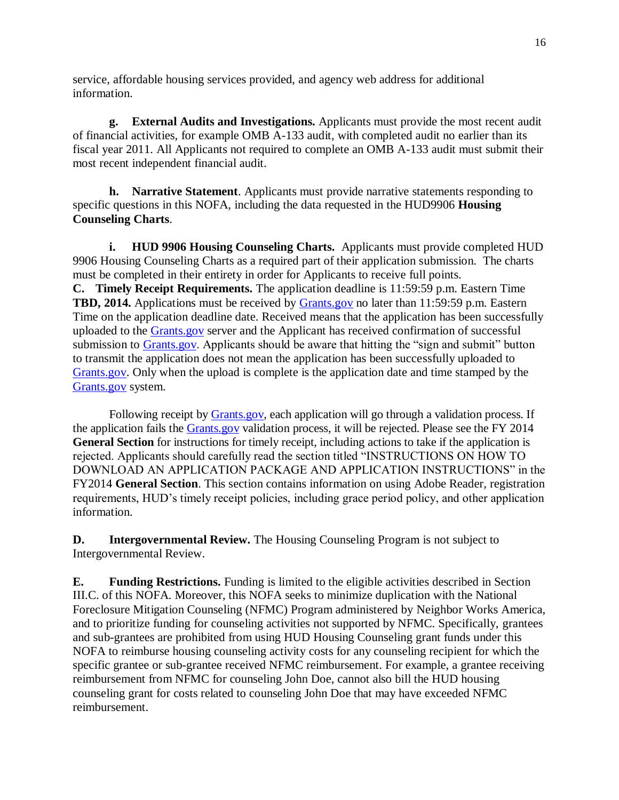service, affordable housing services provided, and agency web address for additional information.

**g. External Audits and Investigations.** Applicants must provide the most recent audit of financial activities, for example OMB A-133 audit, with completed audit no earlier than its fiscal year 2011. All Applicants not required to complete an OMB A-133 audit must submit their most recent independent financial audit.

**h. Narrative Statement**. Applicants must provide narrative statements responding to specific questions in this NOFA, including the data requested in the HUD9906 **Housing Counseling Charts**.

**i. HUD 9906 Housing Counseling Charts.** Applicants must provide completed HUD 9906 Housing Counseling Charts as a required part of their application submission. The charts must be completed in their entirety in order for Applicants to receive full points. **C. Timely Receipt Requirements.** The application deadline is 11:59:59 p.m. Eastern Time **TBD, 2014.** Applications must be received by [Grants.gov](http://grants.gov/) no later than 11:59:59 p.m. Eastern Time on the application deadline date. Received means that the application has been successfully uploaded to the [Grants.gov](http://grants.gov/) server and the Applicant has received confirmation of successful submission to [Grants.gov.](http://grants.gov/) Applicants should be aware that hitting the "sign and submit" button to transmit the application does not mean the application has been successfully uploaded to [Grants.gov.](http://grants.gov/) Only when the upload is complete is the application date and time stamped by the [Grants.gov](http://grants.gov/) system.

Following receipt by **Grants.gov**, each application will go through a validation process. If the application fails the [Grants.gov](http://grants.gov/) validation process, it will be rejected. Please see the FY 2014 **General Section** for instructions for timely receipt, including actions to take if the application is rejected. Applicants should carefully read the section titled "INSTRUCTIONS ON HOW TO DOWNLOAD AN APPLICATION PACKAGE AND APPLICATION INSTRUCTIONS" in the FY2014 **General Section**. This section contains information on using Adobe Reader, registration requirements, HUD's timely receipt policies, including grace period policy, and other application information.

**D. Intergovernmental Review.** The Housing Counseling Program is not subject to Intergovernmental Review.

**E. Funding Restrictions.** Funding is limited to the eligible activities described in Section III.C. of this NOFA. Moreover, this NOFA seeks to minimize duplication with the National Foreclosure Mitigation Counseling (NFMC) Program administered by Neighbor Works America, and to prioritize funding for counseling activities not supported by NFMC. Specifically, grantees and sub-grantees are prohibited from using HUD Housing Counseling grant funds under this NOFA to reimburse housing counseling activity costs for any counseling recipient for which the specific grantee or sub-grantee received NFMC reimbursement. For example, a grantee receiving reimbursement from NFMC for counseling John Doe, cannot also bill the HUD housing counseling grant for costs related to counseling John Doe that may have exceeded NFMC reimbursement.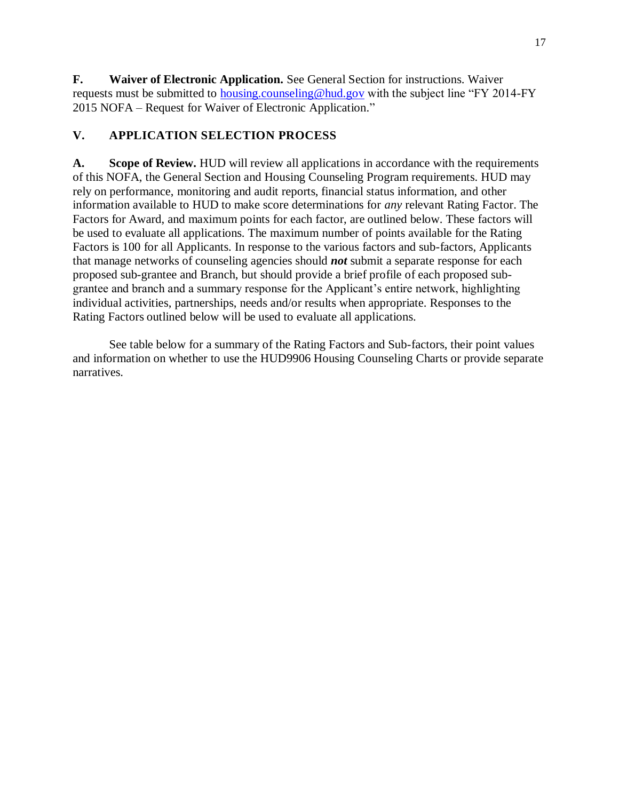**F. Waiver of Electronic Application.** See General Section for instructions. Waiver requests must be submitted to housing.counseling@hud.gov with the subject line "FY 2014-FY 2015 NOFA – Request for Waiver of Electronic Application."

## **V. APPLICATION SELECTION PROCESS**

**A. Scope of Review.** HUD will review all applications in accordance with the requirements of this NOFA, the General Section and Housing Counseling Program requirements. HUD may rely on performance, monitoring and audit reports, financial status information, and other information available to HUD to make score determinations for *any* relevant Rating Factor. The Factors for Award, and maximum points for each factor, are outlined below. These factors will be used to evaluate all applications. The maximum number of points available for the Rating Factors is 100 for all Applicants. In response to the various factors and sub-factors, Applicants that manage networks of counseling agencies should *not* submit a separate response for each proposed sub-grantee and Branch, but should provide a brief profile of each proposed subgrantee and branch and a summary response for the Applicant's entire network, highlighting individual activities, partnerships, needs and/or results when appropriate. Responses to the Rating Factors outlined below will be used to evaluate all applications.

See table below for a summary of the Rating Factors and Sub-factors, their point values and information on whether to use the HUD9906 Housing Counseling Charts or provide separate narratives.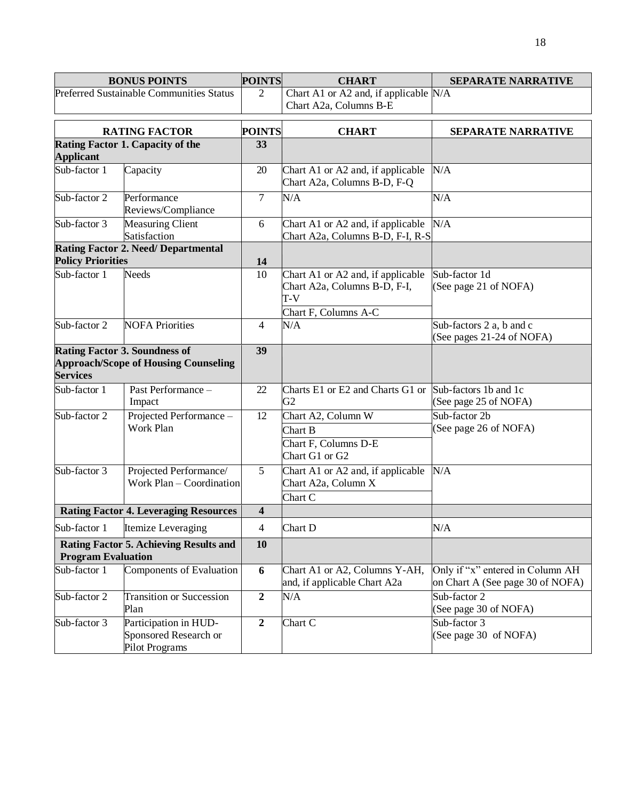| <b>BONUS POINTS</b>                                                        |                                                                                     | <b>POINTS</b>           | <b>CHART</b>                                                               | <b>SEPARATE NARRATIVE</b>                                            |  |
|----------------------------------------------------------------------------|-------------------------------------------------------------------------------------|-------------------------|----------------------------------------------------------------------------|----------------------------------------------------------------------|--|
| Preferred Sustainable Communities Status                                   |                                                                                     | $\overline{2}$          | Chart A1 or A2 and, if applicable N/A<br>Chart A2a, Columns B-E            |                                                                      |  |
| <b>RATING FACTOR</b>                                                       |                                                                                     | <b>POINTS</b>           | <b>CHART</b>                                                               | <b>SEPARATE NARRATIVE</b>                                            |  |
| Rating Factor 1. Capacity of the<br><b>Applicant</b>                       |                                                                                     | 33                      |                                                                            |                                                                      |  |
| Sub-factor 1                                                               | Capacity                                                                            | 20                      | Chart A1 or A2 and, if applicable<br>Chart A2a, Columns B-D, F-Q           | N/A                                                                  |  |
| Sub-factor 2                                                               | Performance<br>Reviews/Compliance                                                   | $\overline{7}$          | N/A                                                                        | N/A                                                                  |  |
| Sub-factor 3                                                               | <b>Measuring Client</b><br>Satisfaction                                             | 6                       | Chart A1 or A2 and, if applicable<br>Chart A2a, Columns B-D, F-I, R-S      | N/A                                                                  |  |
| <b>Policy Priorities</b>                                                   | <b>Rating Factor 2. Need/ Departmental</b>                                          | 14                      |                                                                            |                                                                      |  |
| Sub-factor 1                                                               | <b>Needs</b>                                                                        | 10                      | Chart A1 or A2 and, if applicable<br>Chart A2a, Columns B-D, F-I,<br>$T-V$ | Sub-factor 1d<br>(See page 21 of NOFA)                               |  |
| Sub-factor 2                                                               | <b>NOFA Priorities</b>                                                              | 4                       | Chart F, Columns A-C<br>N/A                                                | Sub-factors 2 a, b and c<br>(See pages 21-24 of NOFA)                |  |
| <b>Services</b>                                                            | <b>Rating Factor 3. Soundness of</b><br><b>Approach/Scope of Housing Counseling</b> | 39                      |                                                                            |                                                                      |  |
| Sub-factor 1                                                               | Past Performance -<br>Impact                                                        | 22                      | Charts E1 or E2 and Charts G1 or<br>G <sub>2</sub>                         | Sub-factors 1b and 1c<br>(See page 25 of NOFA)                       |  |
| Sub-factor 2                                                               | Projected Performance-<br>Work Plan                                                 | 12                      | Chart A2, Column W<br>Chart B<br>Chart F, Columns D-E<br>Chart G1 or G2    | Sub-factor 2b<br>(See page 26 of NOFA)                               |  |
| Sub-factor 3                                                               | Projected Performance/<br>Work Plan – Coordination                                  | 5                       | Chart A1 or A2 and, if applicable<br>Chart A2a, Column X<br>Chart C        | N/A                                                                  |  |
| <b>Rating Factor 4. Leveraging Resources</b>                               |                                                                                     | $\overline{\mathbf{4}}$ |                                                                            |                                                                      |  |
| Sub-factor 1                                                               | Itemize Leveraging                                                                  | 4                       | Chart D                                                                    | N/A                                                                  |  |
| <b>Rating Factor 5. Achieving Results and</b><br><b>Program Evaluation</b> |                                                                                     | 10                      |                                                                            |                                                                      |  |
| Sub-factor 1                                                               | Components of Evaluation                                                            | 6                       | Chart A1 or A2, Columns Y-AH,<br>and, if applicable Chart A2a              | Only if "x" entered in Column AH<br>on Chart A (See page 30 of NOFA) |  |
| Sub-factor 2                                                               | <b>Transition or Succession</b><br>Plan                                             | $\overline{2}$          | N/A                                                                        | Sub-factor 2<br>(See page 30 of NOFA)                                |  |
| Sub-factor 3                                                               | Participation in HUD-<br>Sponsored Research or<br>Pilot Programs                    | $\boldsymbol{2}$        | Chart C                                                                    | Sub-factor 3<br>(See page 30 of NOFA)                                |  |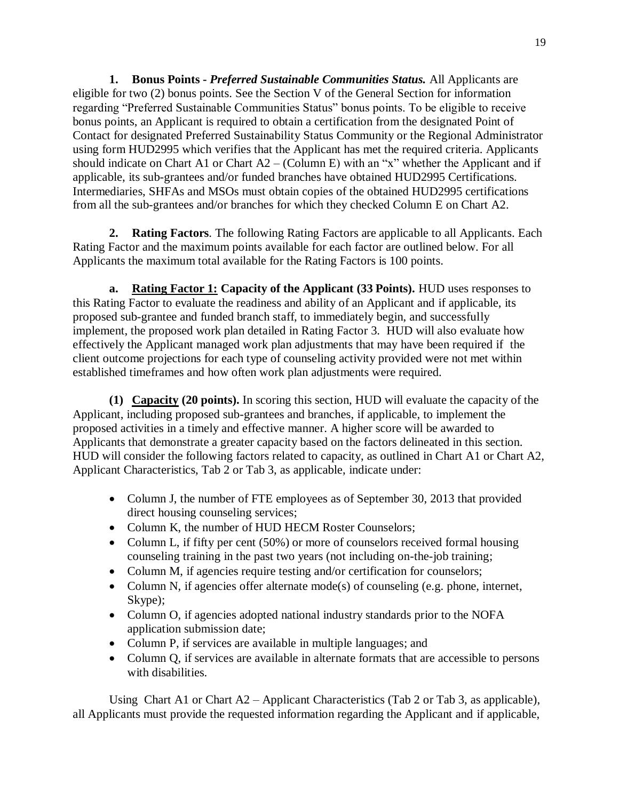**1. Bonus Points -** *Preferred Sustainable Communities Status.* All Applicants are eligible for two (2) bonus points. See the Section V of the General Section for information regarding "Preferred Sustainable Communities Status" bonus points. To be eligible to receive bonus points, an Applicant is required to obtain a certification from the designated Point of Contact for designated Preferred Sustainability Status Community or the Regional Administrator using form HUD2995 which verifies that the Applicant has met the required criteria. Applicants should indicate on Chart A1 or Chart  $A2 - (Column E)$  with an "x" whether the Applicant and if applicable, its sub-grantees and/or funded branches have obtained HUD2995 Certifications. Intermediaries, SHFAs and MSOs must obtain copies of the obtained HUD2995 certifications from all the sub-grantees and/or branches for which they checked Column E on Chart A2.

**2. Rating Factors**. The following Rating Factors are applicable to all Applicants. Each Rating Factor and the maximum points available for each factor are outlined below. For all Applicants the maximum total available for the Rating Factors is 100 points.

**a. Rating Factor 1: Capacity of the Applicant (33 Points).** HUD uses responses to this Rating Factor to evaluate the readiness and ability of an Applicant and if applicable, its proposed sub-grantee and funded branch staff, to immediately begin, and successfully implement, the proposed work plan detailed in Rating Factor 3. HUD will also evaluate how effectively the Applicant managed work plan adjustments that may have been required if the client outcome projections for each type of counseling activity provided were not met within established timeframes and how often work plan adjustments were required.

**(1) Capacity (20 points).** In scoring this section, HUD will evaluate the capacity of the Applicant, including proposed sub-grantees and branches, if applicable, to implement the proposed activities in a timely and effective manner. A higher score will be awarded to Applicants that demonstrate a greater capacity based on the factors delineated in this section. HUD will consider the following factors related to capacity, as outlined in Chart A1 or Chart A2, Applicant Characteristics, Tab 2 or Tab 3, as applicable, indicate under:

- Column J, the number of FTE employees as of September 30, 2013 that provided direct housing counseling services;
- Column K, the number of HUD HECM Roster Counselors;
- Column L, if fifty per cent (50%) or more of counselors received formal housing counseling training in the past two years (not including on-the-job training;
- Column M, if agencies require testing and/or certification for counselors;
- Column N, if agencies offer alternate mode(s) of counseling (e.g. phone, internet, Skype);
- Column O, if agencies adopted national industry standards prior to the NOFA application submission date;
- Column P, if services are available in multiple languages; and
- Column Q, if services are available in alternate formats that are accessible to persons with disabilities.

Using Chart A1 or Chart A2 – Applicant Characteristics (Tab 2 or Tab 3, as applicable), all Applicants must provide the requested information regarding the Applicant and if applicable,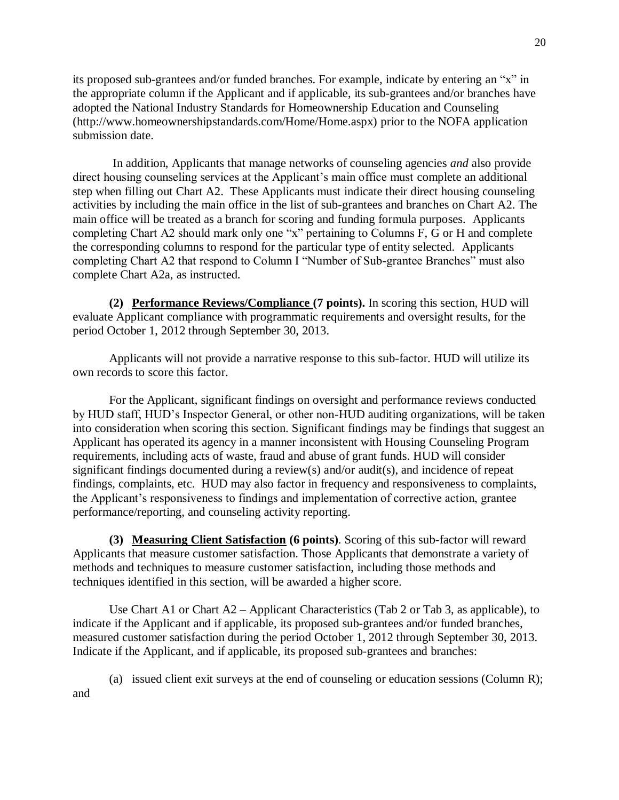its proposed sub-grantees and/or funded branches. For example, indicate by entering an "x" in the appropriate column if the Applicant and if applicable, its sub-grantees and/or branches have adopted the National Industry Standards for Homeownership Education and Counseling (http://www.homeownershipstandards.com/Home/Home.aspx) prior to the NOFA application submission date.

In addition, Applicants that manage networks of counseling agencies *and* also provide direct housing counseling services at the Applicant's main office must complete an additional step when filling out Chart A2. These Applicants must indicate their direct housing counseling activities by including the main office in the list of sub-grantees and branches on Chart A2. The main office will be treated as a branch for scoring and funding formula purposes. Applicants completing Chart A2 should mark only one "x" pertaining to Columns F, G or H and complete the corresponding columns to respond for the particular type of entity selected. Applicants completing Chart A2 that respond to Column I "Number of Sub-grantee Branches" must also complete Chart A2a, as instructed.

**(2) Performance Reviews/Compliance (7 points).** In scoring this section, HUD will evaluate Applicant compliance with programmatic requirements and oversight results, for the period October 1, 2012 through September 30, 2013.

Applicants will not provide a narrative response to this sub-factor. HUD will utilize its own records to score this factor.

For the Applicant, significant findings on oversight and performance reviews conducted by HUD staff, HUD's Inspector General, or other non-HUD auditing organizations, will be taken into consideration when scoring this section. Significant findings may be findings that suggest an Applicant has operated its agency in a manner inconsistent with Housing Counseling Program requirements, including acts of waste, fraud and abuse of grant funds. HUD will consider significant findings documented during a review(s) and/or audit(s), and incidence of repeat findings, complaints, etc. HUD may also factor in frequency and responsiveness to complaints, the Applicant's responsiveness to findings and implementation of corrective action, grantee performance/reporting, and counseling activity reporting.

**(3) Measuring Client Satisfaction (6 points)**. Scoring of this sub-factor will reward Applicants that measure customer satisfaction. Those Applicants that demonstrate a variety of methods and techniques to measure customer satisfaction, including those methods and techniques identified in this section, will be awarded a higher score.

Use Chart A1 or Chart  $A2$  – Applicant Characteristics (Tab 2 or Tab 3, as applicable), to indicate if the Applicant and if applicable, its proposed sub-grantees and/or funded branches, measured customer satisfaction during the period October 1, 2012 through September 30, 2013. Indicate if the Applicant, and if applicable, its proposed sub-grantees and branches:

(a) issued client exit surveys at the end of counseling or education sessions (Column R); and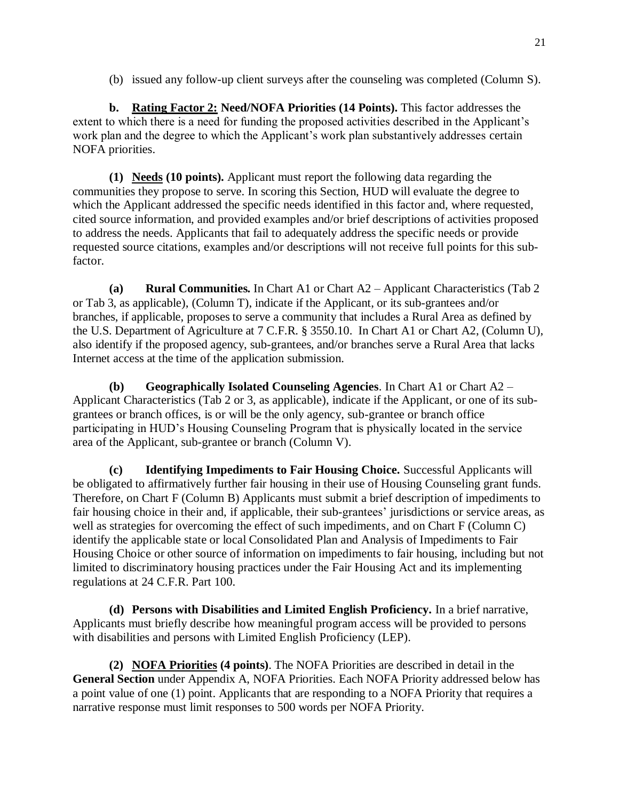(b) issued any follow-up client surveys after the counseling was completed (Column S).

**b. Rating Factor 2: Need/NOFA Priorities (14 Points).** This factor addresses the extent to which there is a need for funding the proposed activities described in the Applicant's work plan and the degree to which the Applicant's work plan substantively addresses certain NOFA priorities.

**(1) Needs (10 points).** Applicant must report the following data regarding the communities they propose to serve. In scoring this Section, HUD will evaluate the degree to which the Applicant addressed the specific needs identified in this factor and, where requested, cited source information, and provided examples and/or brief descriptions of activities proposed to address the needs. Applicants that fail to adequately address the specific needs or provide requested source citations, examples and/or descriptions will not receive full points for this subfactor.

**(a) Rural Communities.** In Chart A1 or Chart A2 – Applicant Characteristics (Tab 2 or Tab 3, as applicable), (Column T), indicate if the Applicant, or its sub-grantees and/or branches, if applicable, proposes to serve a community that includes a Rural Area as defined by the U.S. Department of Agriculture at 7 C.F.R. § 3550.10. In Chart A1 or Chart A2, (Column U), also identify if the proposed agency, sub-grantees, and/or branches serve a Rural Area that lacks Internet access at the time of the application submission.

**(b) Geographically Isolated Counseling Agencies**. In Chart A1 or Chart A2 – Applicant Characteristics (Tab 2 or 3, as applicable), indicate if the Applicant, or one of its subgrantees or branch offices, is or will be the only agency, sub-grantee or branch office participating in HUD's Housing Counseling Program that is physically located in the service area of the Applicant, sub-grantee or branch (Column V).

**(c) Identifying Impediments to Fair Housing Choice.** Successful Applicants will be obligated to affirmatively further fair housing in their use of Housing Counseling grant funds. Therefore, on Chart F (Column B) Applicants must submit a brief description of impediments to fair housing choice in their and, if applicable, their sub-grantees' jurisdictions or service areas, as well as strategies for overcoming the effect of such impediments, and on Chart F (Column C) identify the applicable state or local Consolidated Plan and Analysis of Impediments to Fair Housing Choice or other source of information on impediments to fair housing, including but not limited to discriminatory housing practices under the Fair Housing Act and its implementing regulations at 24 C.F.R. Part 100.

**(d) Persons with Disabilities and Limited English Proficiency.** In a brief narrative, Applicants must briefly describe how meaningful program access will be provided to persons with disabilities and persons with Limited English Proficiency (LEP).

**(2) NOFA Priorities (4 points)**. The NOFA Priorities are described in detail in the **General Section** under Appendix A, NOFA Priorities. Each NOFA Priority addressed below has a point value of one (1) point. Applicants that are responding to a NOFA Priority that requires a narrative response must limit responses to 500 words per NOFA Priority.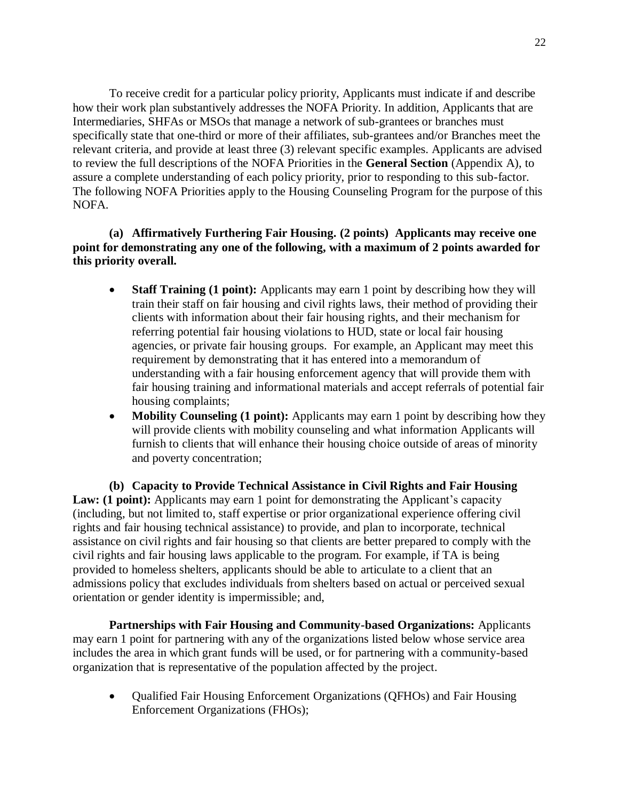To receive credit for a particular policy priority, Applicants must indicate if and describe how their work plan substantively addresses the NOFA Priority. In addition, Applicants that are Intermediaries, SHFAs or MSOs that manage a network of sub-grantees or branches must specifically state that one-third or more of their affiliates, sub-grantees and/or Branches meet the relevant criteria, and provide at least three (3) relevant specific examples. Applicants are advised to review the full descriptions of the NOFA Priorities in the **General Section** (Appendix A), to assure a complete understanding of each policy priority, prior to responding to this sub-factor. The following NOFA Priorities apply to the Housing Counseling Program for the purpose of this NOFA.

**(a) Affirmatively Furthering Fair Housing. (2 points) Applicants may receive one point for demonstrating any one of the following, with a maximum of 2 points awarded for this priority overall.**

- **Staff Training (1 point):** Applicants may earn 1 point by describing how they will train their staff on fair housing and civil rights laws, their method of providing their clients with information about their fair housing rights, and their mechanism for referring potential fair housing violations to HUD, state or local fair housing agencies, or private fair housing groups. For example, an Applicant may meet this requirement by demonstrating that it has entered into a memorandum of understanding with a fair housing enforcement agency that will provide them with fair housing training and informational materials and accept referrals of potential fair housing complaints;
- **Mobility Counseling (1 point):** Applicants may earn 1 point by describing how they will provide clients with mobility counseling and what information Applicants will furnish to clients that will enhance their housing choice outside of areas of minority and poverty concentration;

**(b) Capacity to Provide Technical Assistance in Civil Rights and Fair Housing Law: (1 point):** Applicants may earn 1 point for demonstrating the Applicant's capacity (including, but not limited to, staff expertise or prior organizational experience offering civil rights and fair housing technical assistance) to provide, and plan to incorporate, technical assistance on civil rights and fair housing so that clients are better prepared to comply with the civil rights and fair housing laws applicable to the program. For example, if TA is being provided to homeless shelters, applicants should be able to articulate to a client that an admissions policy that excludes individuals from shelters based on actual or perceived sexual orientation or gender identity is impermissible; and,

**Partnerships with Fair Housing and Community-based Organizations:** Applicants may earn 1 point for partnering with any of the organizations listed below whose service area includes the area in which grant funds will be used, or for partnering with a community-based organization that is representative of the population affected by the project.

 Qualified Fair Housing Enforcement Organizations (QFHOs) and Fair Housing Enforcement Organizations (FHOs);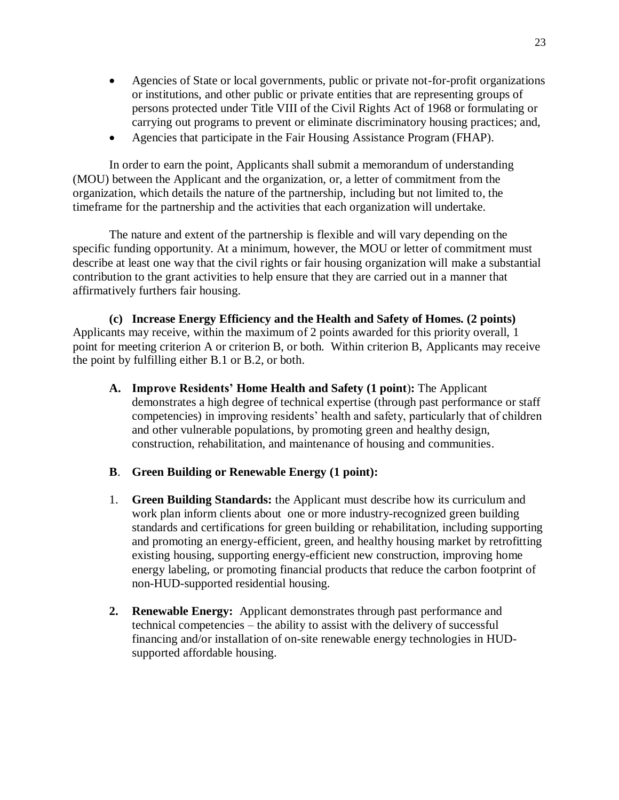- Agencies of State or local governments, public or private not-for-profit organizations or institutions, and other public or private entities that are representing groups of persons protected under Title VIII of the Civil Rights Act of 1968 or formulating or carrying out programs to prevent or eliminate discriminatory housing practices; and,
- Agencies that participate in the Fair Housing Assistance Program (FHAP).

In order to earn the point, Applicants shall submit a memorandum of understanding (MOU) between the Applicant and the organization, or, a letter of commitment from the organization, which details the nature of the partnership, including but not limited to, the timeframe for the partnership and the activities that each organization will undertake.

The nature and extent of the partnership is flexible and will vary depending on the specific funding opportunity. At a minimum, however, the MOU or letter of commitment must describe at least one way that the civil rights or fair housing organization will make a substantial contribution to the grant activities to help ensure that they are carried out in a manner that affirmatively furthers fair housing.

**(c) Increase Energy Efficiency and the Health and Safety of Homes. (2 points)**  Applicants may receive, within the maximum of 2 points awarded for this priority overall, 1 point for meeting criterion A or criterion B, or both. Within criterion B, Applicants may receive the point by fulfilling either B.1 or B.2, or both.

- **A. Improve Residents' Home Health and Safety (1 point**)**:** The Applicant demonstrates a high degree of technical expertise (through past performance or staff competencies) in improving residents' health and safety, particularly that of children and other vulnerable populations, by promoting green and healthy design, construction, rehabilitation, and maintenance of housing and communities.
- **B**. **Green Building or Renewable Energy (1 point):**
- 1. **Green Building Standards:** the Applicant must describe how its curriculum and work plan inform clients about one or more industry-recognized green building standards and certifications for green building or rehabilitation, including supporting and promoting an energy-efficient, green, and healthy housing market by retrofitting existing housing, supporting energy-efficient new construction, improving home energy labeling, or promoting financial products that reduce the carbon footprint of non-HUD-supported residential housing.
- **2. Renewable Energy:** Applicant demonstrates through past performance and technical competencies – the ability to assist with the delivery of successful financing and/or installation of on-site renewable energy technologies in HUDsupported affordable housing.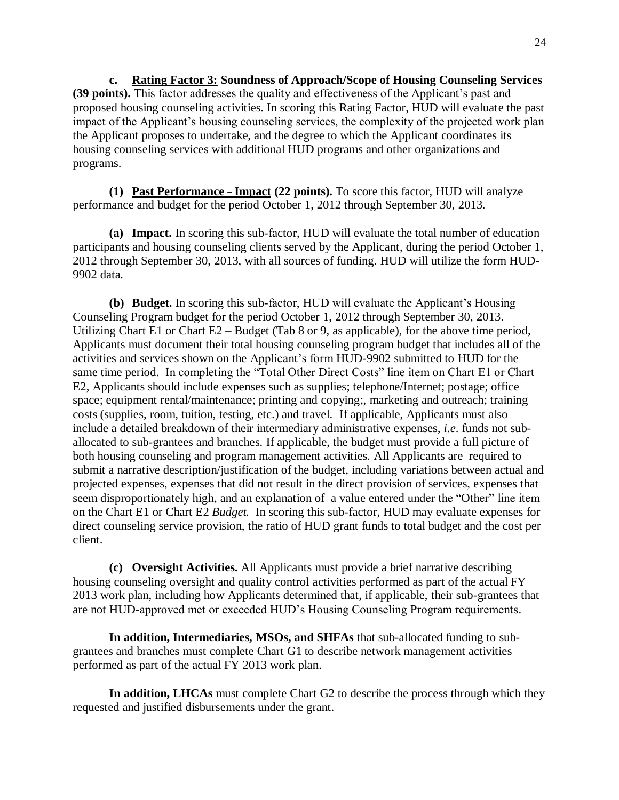**c. Rating Factor 3: Soundness of Approach/Scope of Housing Counseling Services (39 points).** This factor addresses the quality and effectiveness of the Applicant's past and proposed housing counseling activities. In scoring this Rating Factor, HUD will evaluate the past impact of the Applicant's housing counseling services, the complexity of the projected work plan the Applicant proposes to undertake, and the degree to which the Applicant coordinates its housing counseling services with additional HUD programs and other organizations and programs.

**(1) Past Performance – Impact (22 points).** To score this factor, HUD will analyze performance and budget for the period October 1, 2012 through September 30, 2013.

**(a) Impact.** In scoring this sub-factor, HUD will evaluate the total number of education participants and housing counseling clients served by the Applicant, during the period October 1, 2012 through September 30, 2013, with all sources of funding. HUD will utilize the form HUD-9902 data.

**(b) Budget.** In scoring this sub-factor, HUD will evaluate the Applicant's Housing Counseling Program budget for the period October 1, 2012 through September 30, 2013. Utilizing Chart E1 or Chart E2 – Budget (Tab 8 or 9, as applicable), for the above time period, Applicants must document their total housing counseling program budget that includes all of the activities and services shown on the Applicant's form HUD-9902 submitted to HUD for the same time period. In completing the "Total Other Direct Costs" line item on Chart E1 or Chart E2, Applicants should include expenses such as supplies; telephone/Internet; postage; office space; equipment rental/maintenance; printing and copying;, marketing and outreach; training costs (supplies, room, tuition, testing, etc.) and travel. If applicable, Applicants must also include a detailed breakdown of their intermediary administrative expenses, *i.e*. funds not suballocated to sub-grantees and branches. If applicable, the budget must provide a full picture of both housing counseling and program management activities. All Applicants are required to submit a narrative description/justification of the budget, including variations between actual and projected expenses, expenses that did not result in the direct provision of services, expenses that seem disproportionately high, and an explanation of a value entered under the "Other" line item on the Chart E1 or Chart E2 *Budget.* In scoring this sub-factor, HUD may evaluate expenses for direct counseling service provision, the ratio of HUD grant funds to total budget and the cost per client.

**(c) Oversight Activities.** All Applicants must provide a brief narrative describing housing counseling oversight and quality control activities performed as part of the actual FY 2013 work plan, including how Applicants determined that, if applicable, their sub-grantees that are not HUD-approved met or exceeded HUD's Housing Counseling Program requirements.

**In addition, Intermediaries, MSOs, and SHFAs** that sub-allocated funding to subgrantees and branches must complete Chart G1 to describe network management activities performed as part of the actual FY 2013 work plan.

**In addition, LHCAs** must complete Chart G2 to describe the process through which they requested and justified disbursements under the grant.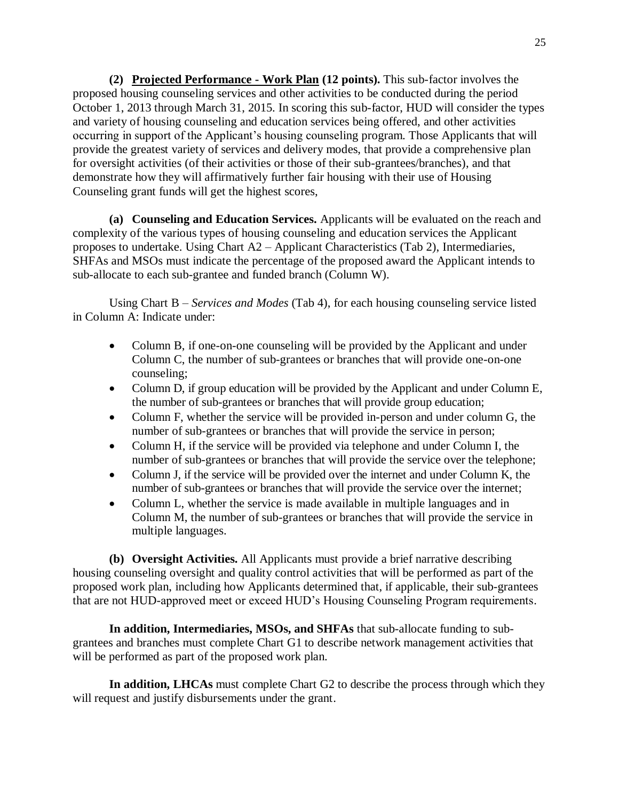**(2) Projected Performance - Work Plan (12 points).** This sub-factor involves the proposed housing counseling services and other activities to be conducted during the period October 1, 2013 through March 31, 2015. In scoring this sub-factor, HUD will consider the types and variety of housing counseling and education services being offered, and other activities occurring in support of the Applicant's housing counseling program. Those Applicants that will provide the greatest variety of services and delivery modes, that provide a comprehensive plan for oversight activities (of their activities or those of their sub-grantees/branches), and that demonstrate how they will affirmatively further fair housing with their use of Housing Counseling grant funds will get the highest scores,

**(a) Counseling and Education Services.** Applicants will be evaluated on the reach and complexity of the various types of housing counseling and education services the Applicant proposes to undertake. Using Chart A2 – Applicant Characteristics (Tab 2), Intermediaries, SHFAs and MSOs must indicate the percentage of the proposed award the Applicant intends to sub-allocate to each sub-grantee and funded branch (Column W).

Using Chart B *– Services and Modes* (Tab 4), for each housing counseling service listed in Column A: Indicate under:

- Column B, if one-on-one counseling will be provided by the Applicant and under Column C, the number of sub-grantees or branches that will provide one-on-one counseling;
- Column D, if group education will be provided by the Applicant and under Column E, the number of sub-grantees or branches that will provide group education;
- Column F, whether the service will be provided in-person and under column G, the number of sub-grantees or branches that will provide the service in person;
- Column H, if the service will be provided via telephone and under Column I, the number of sub-grantees or branches that will provide the service over the telephone;
- Column J, if the service will be provided over the internet and under Column K, the number of sub-grantees or branches that will provide the service over the internet;
- Column L, whether the service is made available in multiple languages and in Column M, the number of sub-grantees or branches that will provide the service in multiple languages.

**(b) Oversight Activities.** All Applicants must provide a brief narrative describing housing counseling oversight and quality control activities that will be performed as part of the proposed work plan, including how Applicants determined that, if applicable, their sub-grantees that are not HUD-approved meet or exceed HUD's Housing Counseling Program requirements.

**In addition, Intermediaries, MSOs, and SHFAs** that sub-allocate funding to subgrantees and branches must complete Chart G1 to describe network management activities that will be performed as part of the proposed work plan.

**In addition, LHCAs** must complete Chart G2 to describe the process through which they will request and justify disbursements under the grant.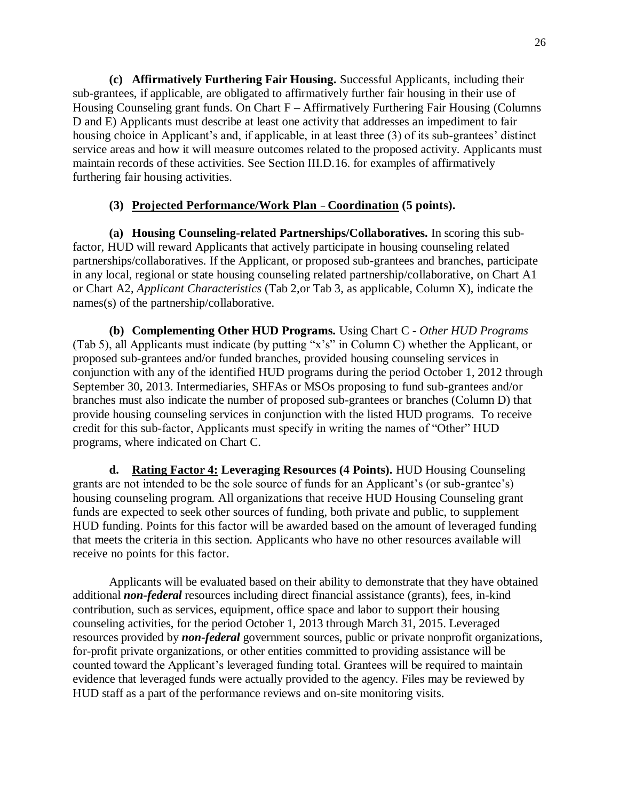**(c) Affirmatively Furthering Fair Housing.** Successful Applicants, including their sub-grantees, if applicable, are obligated to affirmatively further fair housing in their use of Housing Counseling grant funds. On Chart F – Affirmatively Furthering Fair Housing (Columns D and E) Applicants must describe at least one activity that addresses an impediment to fair housing choice in Applicant's and, if applicable, in at least three (3) of its sub-grantees' distinct service areas and how it will measure outcomes related to the proposed activity. Applicants must maintain records of these activities. See Section III.D.16. for examples of affirmatively furthering fair housing activities.

### **(3) Projected Performance/Work Plan – Coordination (5 points).**

**(a) Housing Counseling-related Partnerships/Collaboratives.** In scoring this subfactor, HUD will reward Applicants that actively participate in housing counseling related partnerships/collaboratives. If the Applicant, or proposed sub-grantees and branches, participate in any local, regional or state housing counseling related partnership/collaborative, on Chart A1 or Chart A2, *Applicant Characteristics* (Tab 2,or Tab 3, as applicable, Column X), indicate the names(s) of the partnership/collaborative.

**(b) Complementing Other HUD Programs.** Using Chart C - *Other HUD Programs*  (Tab 5), all Applicants must indicate (by putting "x's" in Column C) whether the Applicant, or proposed sub-grantees and/or funded branches, provided housing counseling services in conjunction with any of the identified HUD programs during the period October 1, 2012 through September 30, 2013. Intermediaries, SHFAs or MSOs proposing to fund sub-grantees and/or branches must also indicate the number of proposed sub-grantees or branches (Column D) that provide housing counseling services in conjunction with the listed HUD programs. To receive credit for this sub-factor, Applicants must specify in writing the names of "Other" HUD programs, where indicated on Chart C.

**d. Rating Factor 4: Leveraging Resources (4 Points).** HUD Housing Counseling grants are not intended to be the sole source of funds for an Applicant's (or sub-grantee's) housing counseling program. All organizations that receive HUD Housing Counseling grant funds are expected to seek other sources of funding, both private and public, to supplement HUD funding. Points for this factor will be awarded based on the amount of leveraged funding that meets the criteria in this section. Applicants who have no other resources available will receive no points for this factor.

Applicants will be evaluated based on their ability to demonstrate that they have obtained additional *non-federal* resources including direct financial assistance (grants), fees, in-kind contribution, such as services, equipment, office space and labor to support their housing counseling activities, for the period October 1, 2013 through March 31, 2015. Leveraged resources provided by *non-federal* government sources, public or private nonprofit organizations, for-profit private organizations, or other entities committed to providing assistance will be counted toward the Applicant's leveraged funding total. Grantees will be required to maintain evidence that leveraged funds were actually provided to the agency. Files may be reviewed by HUD staff as a part of the performance reviews and on-site monitoring visits.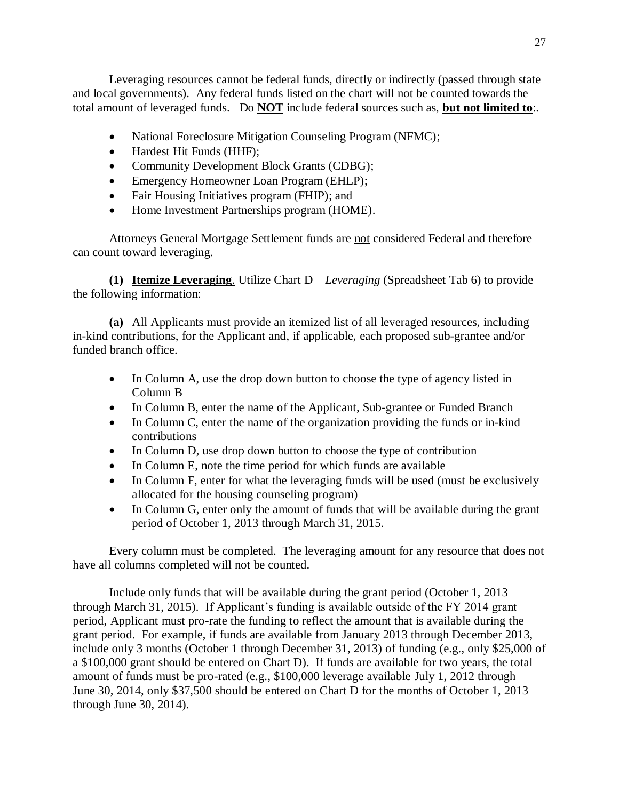Leveraging resources cannot be federal funds, directly or indirectly (passed through state and local governments). Any federal funds listed on the chart will not be counted towards the total amount of leveraged funds. Do **NOT** include federal sources such as, **but not limited to**:.

- National Foreclosure Mitigation Counseling Program (NFMC);
- Hardest Hit Funds (HHF):
- Community Development Block Grants (CDBG);
- Emergency Homeowner Loan Program (EHLP);
- Fair Housing Initiatives program (FHIP); and
- Home Investment Partnerships program (HOME).

Attorneys General Mortgage Settlement funds are not considered Federal and therefore can count toward leveraging.

**(1) Itemize Leveraging**. Utilize Chart D – *Leveraging* (Spreadsheet Tab 6) to provide the following information:

**(a)** All Applicants must provide an itemized list of all leveraged resources, including in-kind contributions, for the Applicant and, if applicable, each proposed sub-grantee and/or funded branch office.

- In Column A, use the drop down button to choose the type of agency listed in Column B
- In Column B, enter the name of the Applicant, Sub-grantee or Funded Branch
- In Column C, enter the name of the organization providing the funds or in-kind contributions
- In Column D, use drop down button to choose the type of contribution
- In Column E, note the time period for which funds are available
- In Column F, enter for what the leveraging funds will be used (must be exclusively allocated for the housing counseling program)
- In Column G, enter only the amount of funds that will be available during the grant period of October 1, 2013 through March 31, 2015.

Every column must be completed. The leveraging amount for any resource that does not have all columns completed will not be counted.

Include only funds that will be available during the grant period (October 1, 2013 through March 31, 2015). If Applicant's funding is available outside of the FY 2014 grant period, Applicant must pro-rate the funding to reflect the amount that is available during the grant period. For example, if funds are available from January 2013 through December 2013, include only 3 months (October 1 through December 31, 2013) of funding (e.g., only \$25,000 of a \$100,000 grant should be entered on Chart D). If funds are available for two years, the total amount of funds must be pro-rated (e.g., \$100,000 leverage available July 1, 2012 through June 30, 2014, only \$37,500 should be entered on Chart D for the months of October 1, 2013 through June 30, 2014).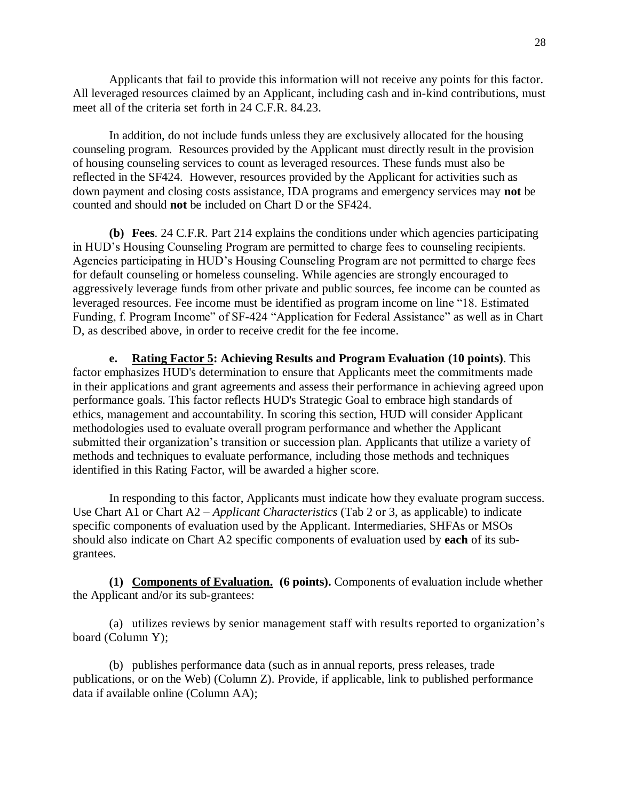Applicants that fail to provide this information will not receive any points for this factor. All leveraged resources claimed by an Applicant, including cash and in-kind contributions, must meet all of the criteria set forth in 24 C.F.R. 84.23.

In addition, do not include funds unless they are exclusively allocated for the housing counseling program. Resources provided by the Applicant must directly result in the provision of housing counseling services to count as leveraged resources. These funds must also be reflected in the SF424. However, resources provided by the Applicant for activities such as down payment and closing costs assistance, IDA programs and emergency services may **not** be counted and should **not** be included on Chart D or the SF424.

**(b) Fees**. 24 C.F.R. Part 214 explains the conditions under which agencies participating in HUD's Housing Counseling Program are permitted to charge fees to counseling recipients. Agencies participating in HUD's Housing Counseling Program are not permitted to charge fees for default counseling or homeless counseling. While agencies are strongly encouraged to aggressively leverage funds from other private and public sources, fee income can be counted as leveraged resources. Fee income must be identified as program income on line "18. Estimated Funding, f. Program Income" of SF-424 "Application for Federal Assistance" as well as in Chart D, as described above, in order to receive credit for the fee income.

**e. Rating Factor 5: Achieving Results and Program Evaluation (10 points)**. This factor emphasizes HUD's determination to ensure that Applicants meet the commitments made in their applications and grant agreements and assess their performance in achieving agreed upon performance goals. This factor reflects HUD's Strategic Goal to embrace high standards of ethics, management and accountability. In scoring this section, HUD will consider Applicant methodologies used to evaluate overall program performance and whether the Applicant submitted their organization's transition or succession plan. Applicants that utilize a variety of methods and techniques to evaluate performance, including those methods and techniques identified in this Rating Factor, will be awarded a higher score.

In responding to this factor, Applicants must indicate how they evaluate program success. Use Chart A1 or Chart A2 – *Applicant Characteristics* (Tab 2 or 3, as applicable) to indicate specific components of evaluation used by the Applicant. Intermediaries, SHFAs or MSOs should also indicate on Chart A2 specific components of evaluation used by **each** of its subgrantees.

**(1) Components of Evaluation. (6 points).** Components of evaluation include whether the Applicant and/or its sub-grantees:

(a) utilizes reviews by senior management staff with results reported to organization's board (Column Y);

(b) publishes performance data (such as in annual reports, press releases, trade publications, or on the Web) (Column Z). Provide, if applicable, link to published performance data if available online (Column AA);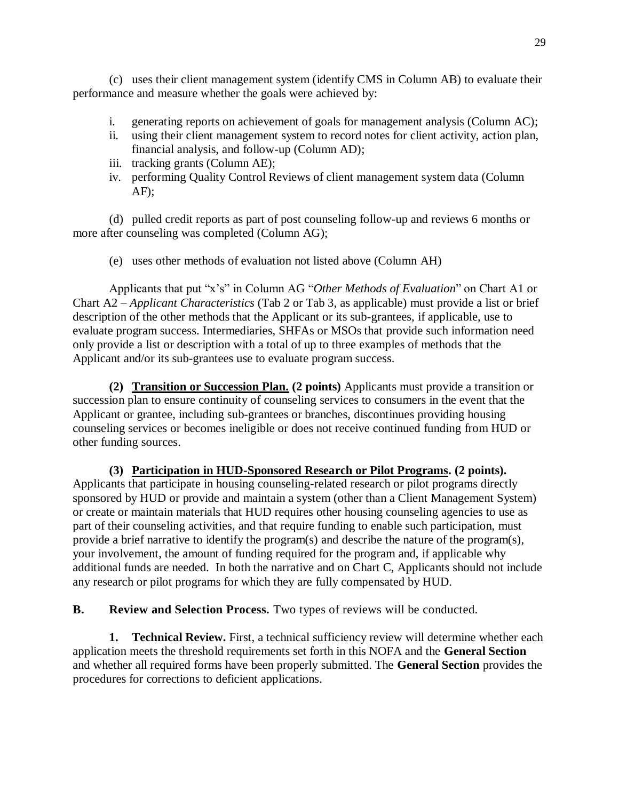(c) uses their client management system (identify CMS in Column AB) to evaluate their performance and measure whether the goals were achieved by:

- i. generating reports on achievement of goals for management analysis (Column AC);
- ii. using their client management system to record notes for client activity, action plan, financial analysis, and follow-up (Column AD);
- iii. tracking grants (Column AE);
- iv. performing Quality Control Reviews of client management system data (Column  $AF$ :

(d) pulled credit reports as part of post counseling follow-up and reviews 6 months or more after counseling was completed (Column AG);

(e) uses other methods of evaluation not listed above (Column AH)

Applicants that put "x's" in Column AG "*Other Methods of Evaluation*" on Chart A1 or Chart A2 – *Applicant Characteristics* (Tab 2 or Tab 3, as applicable) must provide a list or brief description of the other methods that the Applicant or its sub-grantees, if applicable, use to evaluate program success. Intermediaries, SHFAs or MSOs that provide such information need only provide a list or description with a total of up to three examples of methods that the Applicant and/or its sub-grantees use to evaluate program success.

**(2) Transition or Succession Plan. (2 points)** Applicants must provide a transition or succession plan to ensure continuity of counseling services to consumers in the event that the Applicant or grantee, including sub-grantees or branches, discontinues providing housing counseling services or becomes ineligible or does not receive continued funding from HUD or other funding sources.

**(3) Participation in HUD-Sponsored Research or Pilot Programs. (2 points).** Applicants that participate in housing counseling-related research or pilot programs directly sponsored by HUD or provide and maintain a system (other than a Client Management System) or create or maintain materials that HUD requires other housing counseling agencies to use as part of their counseling activities, and that require funding to enable such participation, must provide a brief narrative to identify the program(s) and describe the nature of the program(s), your involvement, the amount of funding required for the program and, if applicable why additional funds are needed. In both the narrative and on Chart C, Applicants should not include any research or pilot programs for which they are fully compensated by HUD.

**B. Review and Selection Process.** Two types of reviews will be conducted.

**1. Technical Review.** First, a technical sufficiency review will determine whether each application meets the threshold requirements set forth in this NOFA and the **General Section**  and whether all required forms have been properly submitted. The **General Section** provides the procedures for corrections to deficient applications.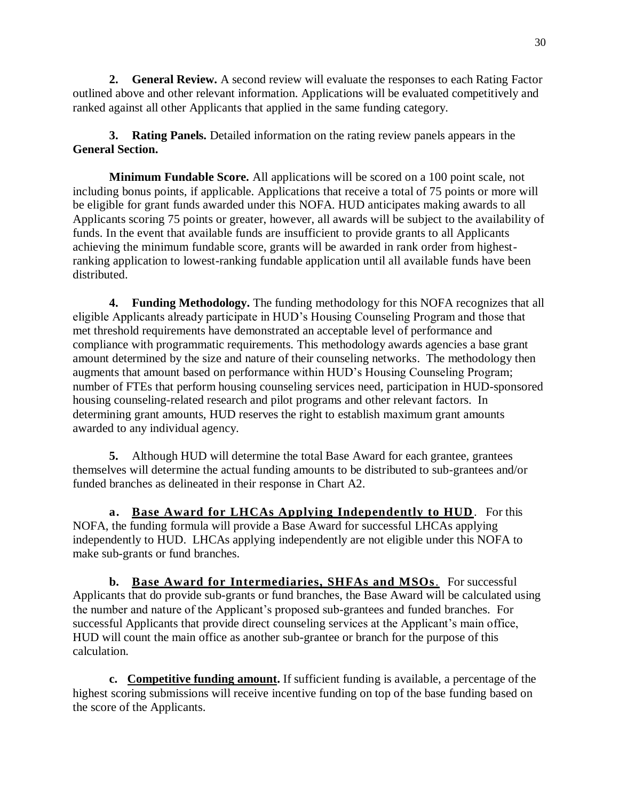**2. General Review.** A second review will evaluate the responses to each Rating Factor outlined above and other relevant information. Applications will be evaluated competitively and ranked against all other Applicants that applied in the same funding category.

**3. Rating Panels.** Detailed information on the rating review panels appears in the **General Section.**

**Minimum Fundable Score.** All applications will be scored on a 100 point scale, not including bonus points, if applicable. Applications that receive a total of 75 points or more will be eligible for grant funds awarded under this NOFA. HUD anticipates making awards to all Applicants scoring 75 points or greater, however, all awards will be subject to the availability of funds. In the event that available funds are insufficient to provide grants to all Applicants achieving the minimum fundable score, grants will be awarded in rank order from highestranking application to lowest-ranking fundable application until all available funds have been distributed.

**4. Funding Methodology.** The funding methodology for this NOFA recognizes that all eligible Applicants already participate in HUD's Housing Counseling Program and those that met threshold requirements have demonstrated an acceptable level of performance and compliance with programmatic requirements. This methodology awards agencies a base grant amount determined by the size and nature of their counseling networks. The methodology then augments that amount based on performance within HUD's Housing Counseling Program; number of FTEs that perform housing counseling services need, participation in HUD-sponsored housing counseling-related research and pilot programs and other relevant factors. In determining grant amounts, HUD reserves the right to establish maximum grant amounts awarded to any individual agency.

**5.** Although HUD will determine the total Base Award for each grantee, grantees themselves will determine the actual funding amounts to be distributed to sub-grantees and/or funded branches as delineated in their response in Chart A2.

**a. Base Award for LHCAs Applying Independently to HUD**. For this NOFA, the funding formula will provide a Base Award for successful LHCAs applying independently to HUD. LHCAs applying independently are not eligible under this NOFA to make sub-grants or fund branches.

**b. Base Award for Intermediaries, SHFAs and MSOs**. For successful Applicants that do provide sub-grants or fund branches, the Base Award will be calculated using the number and nature of the Applicant's proposed sub-grantees and funded branches. For successful Applicants that provide direct counseling services at the Applicant's main office, HUD will count the main office as another sub-grantee or branch for the purpose of this calculation.

**c. Competitive funding amount.** If sufficient funding is available, a percentage of the highest scoring submissions will receive incentive funding on top of the base funding based on the score of the Applicants.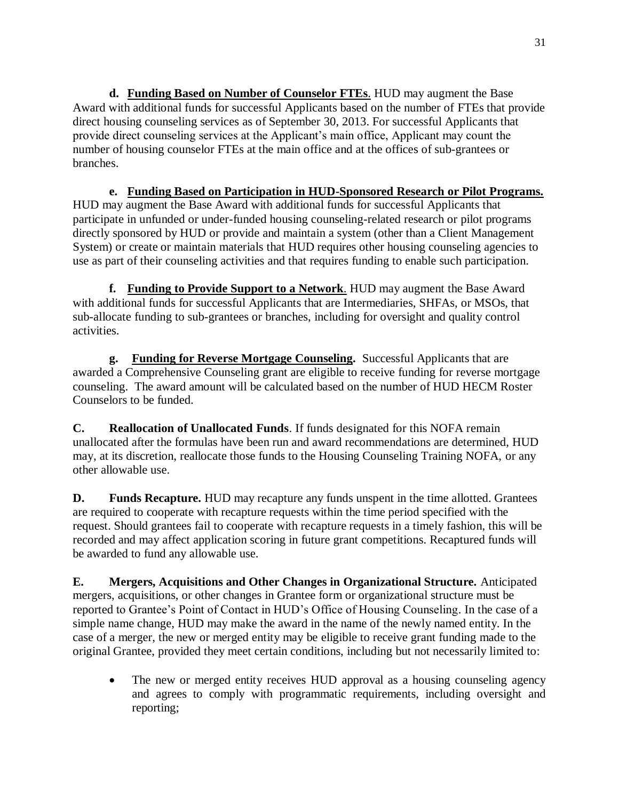**d. Funding Based on Number of Counselor FTEs**. HUD may augment the Base Award with additional funds for successful Applicants based on the number of FTEs that provide direct housing counseling services as of September 30, 2013. For successful Applicants that provide direct counseling services at the Applicant's main office, Applicant may count the number of housing counselor FTEs at the main office and at the offices of sub-grantees or branches.

**e. Funding Based on Participation in HUD-Sponsored Research or Pilot Programs.** HUD may augment the Base Award with additional funds for successful Applicants that participate in unfunded or under-funded housing counseling-related research or pilot programs directly sponsored by HUD or provide and maintain a system (other than a Client Management System) or create or maintain materials that HUD requires other housing counseling agencies to use as part of their counseling activities and that requires funding to enable such participation.

**f. Funding to Provide Support to a Network**. HUD may augment the Base Award with additional funds for successful Applicants that are Intermediaries, SHFAs, or MSOs, that sub-allocate funding to sub-grantees or branches, including for oversight and quality control activities.

**g. Funding for Reverse Mortgage Counseling.** Successful Applicants that are awarded a Comprehensive Counseling grant are eligible to receive funding for reverse mortgage counseling. The award amount will be calculated based on the number of HUD HECM Roster Counselors to be funded.

**C. Reallocation of Unallocated Funds**. If funds designated for this NOFA remain unallocated after the formulas have been run and award recommendations are determined, HUD may, at its discretion, reallocate those funds to the Housing Counseling Training NOFA, or any other allowable use.

**D. Funds Recapture.** HUD may recapture any funds unspent in the time allotted. Grantees are required to cooperate with recapture requests within the time period specified with the request. Should grantees fail to cooperate with recapture requests in a timely fashion, this will be recorded and may affect application scoring in future grant competitions. Recaptured funds will be awarded to fund any allowable use.

**E. Mergers, Acquisitions and Other Changes in Organizational Structure.** Anticipated mergers, acquisitions, or other changes in Grantee form or organizational structure must be reported to Grantee's Point of Contact in HUD's Office of Housing Counseling. In the case of a simple name change, HUD may make the award in the name of the newly named entity. In the case of a merger, the new or merged entity may be eligible to receive grant funding made to the original Grantee, provided they meet certain conditions, including but not necessarily limited to:

• The new or merged entity receives HUD approval as a housing counseling agency and agrees to comply with programmatic requirements, including oversight and reporting;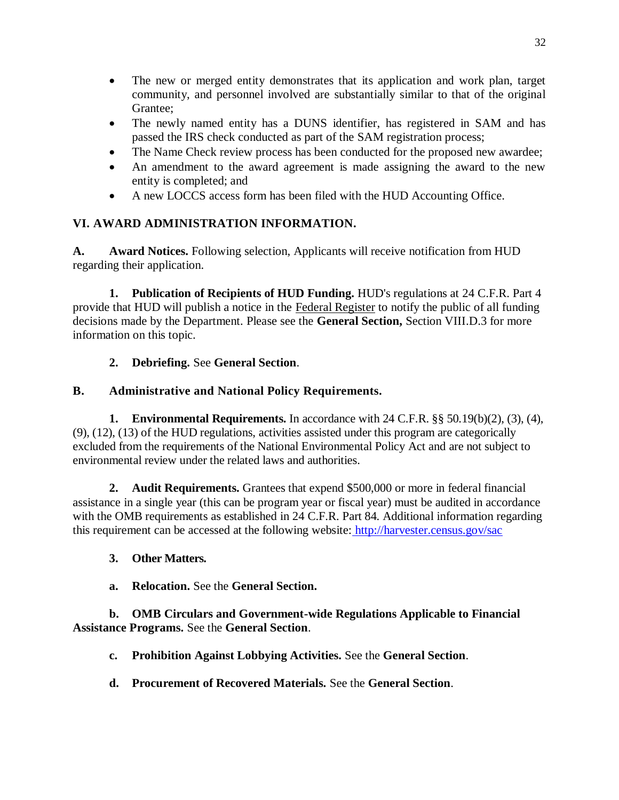- The new or merged entity demonstrates that its application and work plan, target community, and personnel involved are substantially similar to that of the original Grantee;
- The newly named entity has a DUNS identifier, has registered in SAM and has passed the IRS check conducted as part of the SAM registration process;
- The Name Check review process has been conducted for the proposed new awardee;
- An amendment to the award agreement is made assigning the award to the new entity is completed; and
- A new LOCCS access form has been filed with the HUD Accounting Office.

# **VI. AWARD ADMINISTRATION INFORMATION.**

**A. Award Notices.** Following selection, Applicants will receive notification from HUD regarding their application.

**1. Publication of Recipients of HUD Funding.** HUD's regulations at 24 C.F.R. Part 4 provide that HUD will publish a notice in the Federal Register to notify the public of all funding decisions made by the Department. Please see the **General Section,** Section VIII.D.3 for more information on this topic.

# **2. Debriefing.** See **General Section**.

# **B. Administrative and National Policy Requirements.**

**1. Environmental Requirements.** In accordance with 24 C.F.R. §§ 50.19(b)(2), (3), (4), (9), (12), (13) of the HUD regulations, activities assisted under this program are categorically excluded from the requirements of the National Environmental Policy Act and are not subject to environmental review under the related laws and authorities.

**2. Audit Requirements.** Grantees that expend \$500,000 or more in federal financial assistance in a single year (this can be program year or fiscal year) must be audited in accordance with the OMB requirements as established in 24 C.F.R. Part 84. Additional information regarding this requirement can be accessed at the following website: <http://harvester.census.gov/sac>

# **3. Other Matters.**

**a. Relocation.** See the **General Section.**

## **b. OMB Circulars and Government-wide Regulations Applicable to Financial Assistance Programs.** See the **General Section**.

- **c. Prohibition Against Lobbying Activities.** See the **General Section**.
- **d. Procurement of Recovered Materials.** See the **General Section**.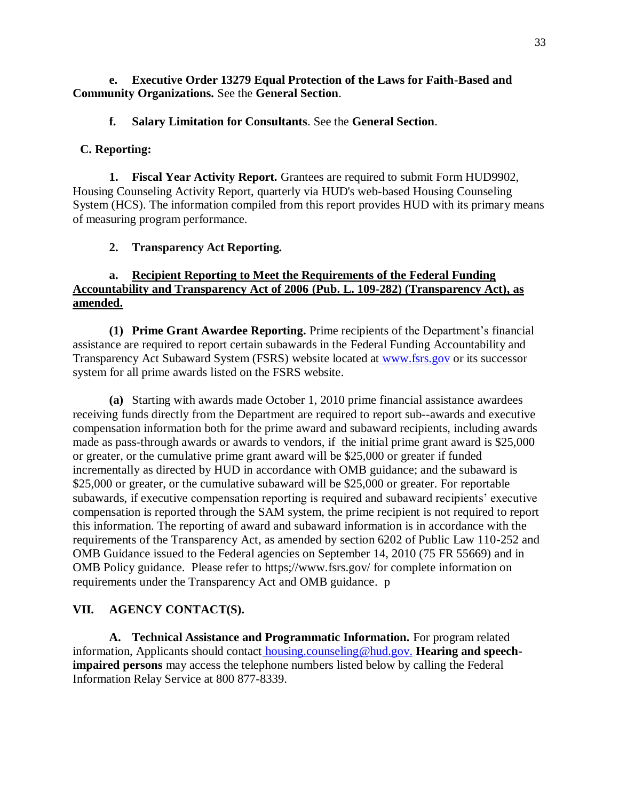### **e. Executive Order 13279 Equal Protection of the Laws for Faith-Based and Community Organizations.** See the **General Section**.

### **f. Salary Limitation for Consultants**. See the **General Section**.

### **C. Reporting:**

**1. Fiscal Year Activity Report.** Grantees are required to submit Form HUD9902, Housing Counseling Activity Report, quarterly via HUD's web-based Housing Counseling System (HCS). The information compiled from this report provides HUD with its primary means of measuring program performance.

### **2. Transparency Act Reporting.**

### **a. Recipient Reporting to Meet the Requirements of the Federal Funding Accountability and Transparency Act of 2006 (Pub. L. 109-282) (Transparency Act), as amended.**

**(1) Prime Grant Awardee Reporting.** Prime recipients of the Department's financial assistance are required to report certain subawards in the Federal Funding Accountability and Transparency Act Subaward System (FSRS) website located at [www.fsrs.gov](http://www.fsrs.gov/) or its successor system for all prime awards listed on the FSRS website.

**(a)** Starting with awards made October 1, 2010 prime financial assistance awardees receiving funds directly from the Department are required to report sub--awards and executive compensation information both for the prime award and subaward recipients, including awards made as pass-through awards or awards to vendors, if the initial prime grant award is \$25,000 or greater, or the cumulative prime grant award will be \$25,000 or greater if funded incrementally as directed by HUD in accordance with OMB guidance; and the subaward is \$25,000 or greater, or the cumulative subaward will be \$25,000 or greater. For reportable subawards, if executive compensation reporting is required and subaward recipients' executive compensation is reported through the SAM system, the prime recipient is not required to report this information. The reporting of award and subaward information is in accordance with the requirements of the Transparency Act, as amended by section 6202 of Public Law 110-252 and OMB Guidance issued to the Federal agencies on September 14, 2010 (75 FR 55669) and in OMB Policy guidance. Please refer to https;//www.fsrs.gov/ for complete information on requirements under the Transparency Act and OMB guidance. p

### **VII. AGENCY CONTACT(S).**

**A. Technical Assistance and Programmatic Information.** For program related information, Applicants should contact [housing.counseling@hud.gov.](mailto:housing.counseling@hud.gov) **Hearing and speechimpaired persons** may access the telephone numbers listed below by calling the Federal Information Relay Service at 800 877-8339.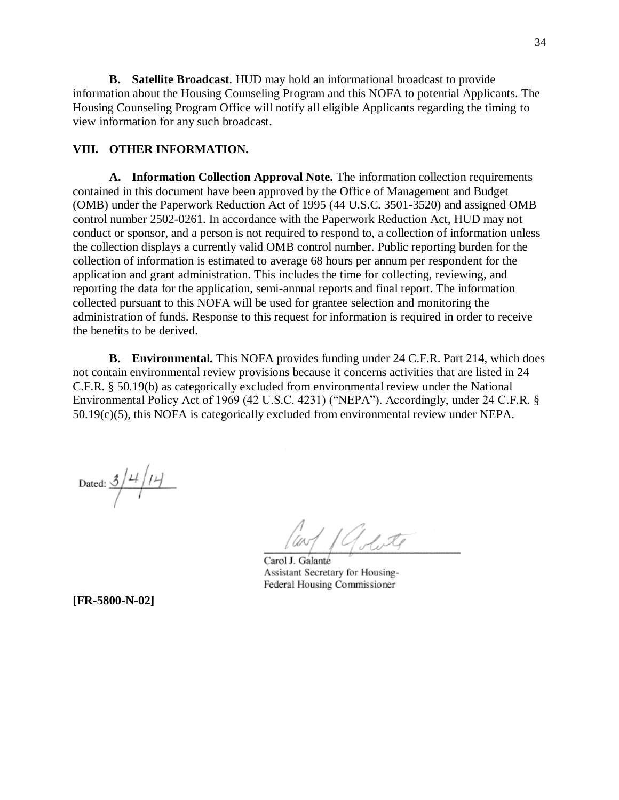**B. Satellite Broadcast**. HUD may hold an informational broadcast to provide information about the Housing Counseling Program and this NOFA to potential Applicants. The Housing Counseling Program Office will notify all eligible Applicants regarding the timing to view information for any such broadcast.

### **VIII. OTHER INFORMATION.**

**A. Information Collection Approval Note.** The information collection requirements contained in this document have been approved by the Office of Management and Budget (OMB) under the Paperwork Reduction Act of 1995 (44 U.S.C. 3501-3520) and assigned OMB control number 2502-0261. In accordance with the Paperwork Reduction Act, HUD may not conduct or sponsor, and a person is not required to respond to, a collection of information unless the collection displays a currently valid OMB control number. Public reporting burden for the collection of information is estimated to average 68 hours per annum per respondent for the application and grant administration. This includes the time for collecting, reviewing, and reporting the data for the application, semi-annual reports and final report. The information collected pursuant to this NOFA will be used for grantee selection and monitoring the administration of funds. Response to this request for information is required in order to receive the benefits to be derived.

**B. Environmental.** This NOFA provides funding under 24 C.F.R. Part 214, which does not contain environmental review provisions because it concerns activities that are listed in 24 C.F.R. § 50.19(b) as categorically excluded from environmental review under the National Environmental Policy Act of 1969 (42 U.S.C. 4231) ("NEPA"). Accordingly, under 24 C.F.R. § 50.19(c)(5), this NOFA is categorically excluded from environmental review under NEPA.

Dated:  $\frac{3}{1}$   $\frac{11}{11}$ 

Carol J. Galanté Assistant Secretary for Housing-Federal Housing Commissioner

**[FR-5800-N-02]**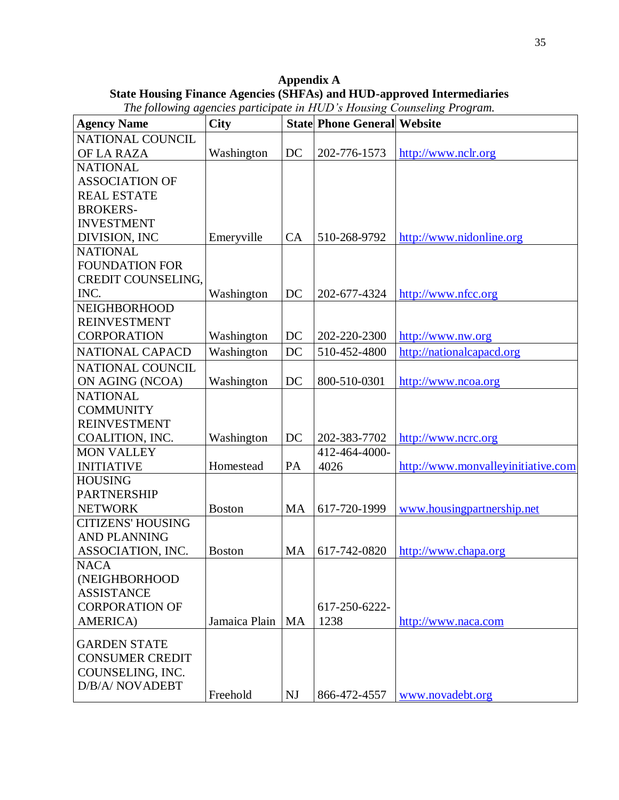**Appendix A State Housing Finance Agencies (SHFAs) and HUD-approved Intermediaries**

| <b>Agency Name</b>       | <b>City</b>   |           | <b>State Phone General Website</b> |                                    |
|--------------------------|---------------|-----------|------------------------------------|------------------------------------|
| NATIONAL COUNCIL         |               |           |                                    |                                    |
| OF LA RAZA               | Washington    | DC        | 202-776-1573                       | http://www.nclr.org                |
| <b>NATIONAL</b>          |               |           |                                    |                                    |
| <b>ASSOCIATION OF</b>    |               |           |                                    |                                    |
| <b>REAL ESTATE</b>       |               |           |                                    |                                    |
| <b>BROKERS-</b>          |               |           |                                    |                                    |
| <b>INVESTMENT</b>        |               |           |                                    |                                    |
| DIVISION, INC            | Emeryville    | CA        | 510-268-9792                       | http://www.nidonline.org           |
| <b>NATIONAL</b>          |               |           |                                    |                                    |
| <b>FOUNDATION FOR</b>    |               |           |                                    |                                    |
| CREDIT COUNSELING,       |               |           |                                    |                                    |
| INC.                     | Washington    | DC        | 202-677-4324                       | http://www.nfcc.org                |
| <b>NEIGHBORHOOD</b>      |               |           |                                    |                                    |
| <b>REINVESTMENT</b>      |               |           |                                    |                                    |
| <b>CORPORATION</b>       | Washington    | DC        | 202-220-2300                       | http://www.nw.org                  |
| <b>NATIONAL CAPACD</b>   | Washington    | DC        | 510-452-4800                       | http://nationalcapacd.org          |
| <b>NATIONAL COUNCIL</b>  |               |           |                                    |                                    |
| ON AGING (NCOA)          | Washington    | DC        | 800-510-0301                       | http://www.ncoa.org                |
| <b>NATIONAL</b>          |               |           |                                    |                                    |
| <b>COMMUNITY</b>         |               |           |                                    |                                    |
| <b>REINVESTMENT</b>      |               |           |                                    |                                    |
| COALITION, INC.          | Washington    | DC        | 202-383-7702                       | http://www.ncrc.org                |
| <b>MON VALLEY</b>        |               |           | 412-464-4000-                      |                                    |
| <b>INITIATIVE</b>        | Homestead     | PA        | 4026                               | http://www.monvalleyinitiative.com |
| <b>HOUSING</b>           |               |           |                                    |                                    |
| <b>PARTNERSHIP</b>       |               |           |                                    |                                    |
| <b>NETWORK</b>           | <b>Boston</b> | MA        | 617-720-1999                       | www.housingpartnership.net         |
| <b>CITIZENS' HOUSING</b> |               |           |                                    |                                    |
| <b>AND PLANNING</b>      |               |           |                                    |                                    |
| ASSOCIATION, INC.        | <b>Boston</b> | MA        | 617-742-0820                       | http://www.chapa.org               |
| <b>NACA</b>              |               |           |                                    |                                    |
| (NEIGHBORHOOD            |               |           |                                    |                                    |
| <b>ASSISTANCE</b>        |               |           |                                    |                                    |
| <b>CORPORATION OF</b>    |               |           | 617-250-6222-                      |                                    |
| AMERICA)                 | Jamaica Plain | <b>MA</b> | 1238                               | http://www.naca.com                |
| <b>GARDEN STATE</b>      |               |           |                                    |                                    |
| <b>CONSUMER CREDIT</b>   |               |           |                                    |                                    |
| COUNSELING, INC.         |               |           |                                    |                                    |
| D/B/A/NOVADEBT           |               |           |                                    |                                    |
|                          | Freehold      | NJ        | 866-472-4557                       | www.novadebt.org                   |

*The following agencies participate in HUD's Housing Counseling Program.*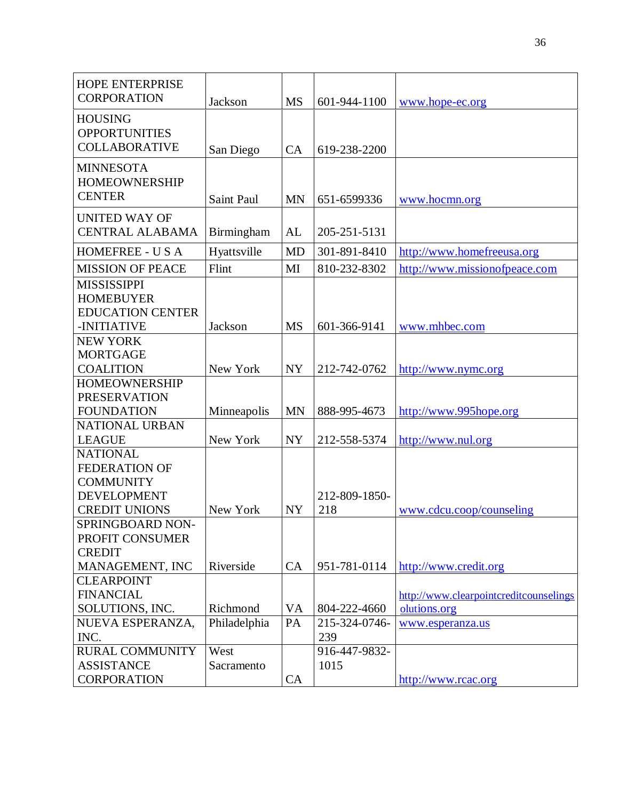| <b>HOPE ENTERPRISE</b>                  |              |           |                               |                                        |
|-----------------------------------------|--------------|-----------|-------------------------------|----------------------------------------|
| <b>CORPORATION</b>                      | Jackson      | <b>MS</b> | 601-944-1100                  | www.hope-ec.org                        |
| <b>HOUSING</b>                          |              |           |                               |                                        |
| <b>OPPORTUNITIES</b>                    |              |           |                               |                                        |
| <b>COLLABORATIVE</b>                    | San Diego    | CA        | 619-238-2200                  |                                        |
| <b>MINNESOTA</b>                        |              |           |                               |                                        |
| <b>HOMEOWNERSHIP</b>                    |              |           |                               |                                        |
| <b>CENTER</b>                           | Saint Paul   | <b>MN</b> | 651-6599336                   |                                        |
|                                         |              |           |                               | www.hocmn.org                          |
| <b>UNITED WAY OF</b>                    |              |           |                               |                                        |
| <b>CENTRAL ALABAMA</b>                  | Birmingham   | AL        | 205-251-5131                  |                                        |
| <b>HOMEFREE - USA</b>                   | Hyattsville  | <b>MD</b> | 301-891-8410                  | http://www.homefreeusa.org             |
| <b>MISSION OF PEACE</b>                 | Flint        | MI        | 810-232-8302                  | http://www.missionofpeace.com          |
| <b>MISSISSIPPI</b>                      |              |           |                               |                                        |
| <b>HOMEBUYER</b>                        |              |           |                               |                                        |
| <b>EDUCATION CENTER</b>                 |              |           |                               |                                        |
| -INITIATIVE                             | Jackson      | <b>MS</b> | 601-366-9141                  | www.mhbec.com                          |
| <b>NEW YORK</b>                         |              |           |                               |                                        |
| <b>MORTGAGE</b>                         |              |           |                               |                                        |
| <b>COALITION</b>                        | New York     | <b>NY</b> | 212-742-0762                  | http://www.nymc.org                    |
| <b>HOMEOWNERSHIP</b>                    |              |           |                               |                                        |
| <b>PRESERVATION</b>                     |              |           |                               |                                        |
| <b>FOUNDATION</b>                       | Minneapolis  | <b>MN</b> | 888-995-4673                  | http://www.995hope.org                 |
| <b>NATIONAL URBAN</b>                   |              |           |                               |                                        |
| <b>LEAGUE</b>                           | New York     | <b>NY</b> | 212-558-5374                  | http://www.nul.org                     |
| <b>NATIONAL</b>                         |              |           |                               |                                        |
| <b>FEDERATION OF</b>                    |              |           |                               |                                        |
| <b>COMMUNITY</b>                        |              |           |                               |                                        |
| <b>DEVELOPMENT</b>                      |              |           | 212-809-1850-                 |                                        |
| <b>CREDIT UNIONS</b>                    | New York     | <b>NY</b> | 218                           | www.cdcu.coop/counseling               |
| SPRINGBOARD NON-                        |              |           |                               |                                        |
| PROFIT CONSUMER                         |              |           |                               |                                        |
| <b>CREDIT</b>                           |              |           |                               |                                        |
| MANAGEMENT, INC<br><b>CLEARPOINT</b>    | Riverside    | CA        | 951-781-0114                  | http://www.credit.org                  |
|                                         |              |           |                               |                                        |
| <b>FINANCIAL</b><br>SOLUTIONS, INC.     | Richmond     |           |                               | http://www.clearpointcreditcounselings |
| NUEVA ESPERANZA,                        | Philadelphia | VA<br>PA  | 804-222-4660<br>215-324-0746- | olutions.org                           |
| INC.                                    |              |           | 239                           | www.esperanza.us                       |
| <b>RURAL COMMUNITY</b>                  | West         |           | 916-447-9832-                 |                                        |
|                                         |              |           |                               |                                        |
|                                         |              |           |                               |                                        |
| <b>ASSISTANCE</b><br><b>CORPORATION</b> | Sacramento   | CA        | 1015                          | http://www.rcac.org                    |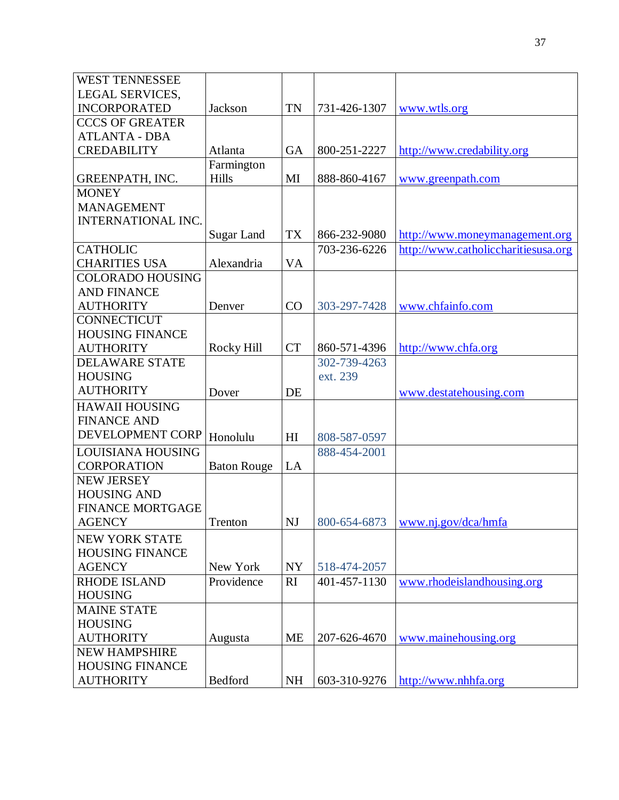| <b>WEST TENNESSEE</b>     |                    |                |              |                                         |
|---------------------------|--------------------|----------------|--------------|-----------------------------------------|
| <b>LEGAL SERVICES,</b>    |                    |                |              |                                         |
| <b>INCORPORATED</b>       | Jackson            | TN             | 731-426-1307 | www.wtls.org                            |
| <b>CCCS OF GREATER</b>    |                    |                |              |                                         |
| <b>ATLANTA - DBA</b>      |                    |                |              |                                         |
| <b>CREDABILITY</b>        | Atlanta            | GA             | 800-251-2227 | http://www.credability.org              |
|                           | Farmington         |                |              |                                         |
| GREENPATH, INC.           | Hills              | MI             | 888-860-4167 | www.greenpath.com                       |
| <b>MONEY</b>              |                    |                |              |                                         |
| <b>MANAGEMENT</b>         |                    |                |              |                                         |
| <b>INTERNATIONAL INC.</b> |                    |                |              |                                         |
|                           | Sugar Land         | <b>TX</b>      | 866-232-9080 | http://www.moneymanagement.org          |
| <b>CATHOLIC</b>           |                    |                | 703-236-6226 | http://www.catholiccharitiesusa.org     |
| <b>CHARITIES USA</b>      | Alexandria         | VA             |              |                                         |
| <b>COLORADO HOUSING</b>   |                    |                |              |                                         |
| <b>AND FINANCE</b>        |                    |                |              |                                         |
| <b>AUTHORITY</b>          | Denver             | CO             | 303-297-7428 | www.chfainfo.com                        |
| <b>CONNECTICUT</b>        |                    |                |              |                                         |
| <b>HOUSING FINANCE</b>    |                    |                |              |                                         |
| <b>AUTHORITY</b>          | Rocky Hill         | <b>CT</b>      | 860-571-4396 | http://www.chfa.org                     |
| <b>DELAWARE STATE</b>     |                    |                | 302-739-4263 |                                         |
| <b>HOUSING</b>            |                    |                | ext. 239     |                                         |
| <b>AUTHORITY</b>          | Dover              | DE             |              | www.destatehousing.com                  |
| <b>HAWAII HOUSING</b>     |                    |                |              |                                         |
| <b>FINANCE AND</b>        |                    |                |              |                                         |
| DEVELOPMENT CORP          | Honolulu           | H <sub>I</sub> | 808-587-0597 |                                         |
| <b>LOUISIANA HOUSING</b>  |                    |                | 888-454-2001 |                                         |
| <b>CORPORATION</b>        | <b>Baton Rouge</b> | LA             |              |                                         |
| <b>NEW JERSEY</b>         |                    |                |              |                                         |
| <b>HOUSING AND</b>        |                    |                |              |                                         |
| <b>FINANCE MORTGAGE</b>   |                    |                |              |                                         |
| <b>AGENCY</b>             | Trenton            | NJ             |              | 800-654-6873 <u>www.nj.gov/dca/hmfa</u> |
| NEW YORK STATE            |                    |                |              |                                         |
| <b>HOUSING FINANCE</b>    |                    |                |              |                                         |
| <b>AGENCY</b>             | New York           | <b>NY</b>      | 518-474-2057 |                                         |
| <b>RHODE ISLAND</b>       | Providence         | RI             | 401-457-1130 | www.rhodeislandhousing.org              |
| <b>HOUSING</b>            |                    |                |              |                                         |
| <b>MAINE STATE</b>        |                    |                |              |                                         |
| <b>HOUSING</b>            |                    |                |              |                                         |
| <b>AUTHORITY</b>          | Augusta            | <b>ME</b>      | 207-626-4670 | www.mainehousing.org                    |
| <b>NEW HAMPSHIRE</b>      |                    |                |              |                                         |
| <b>HOUSING FINANCE</b>    |                    |                |              |                                         |
| <b>AUTHORITY</b>          | Bedford            | <b>NH</b>      | 603-310-9276 | http://www.nhhfa.org                    |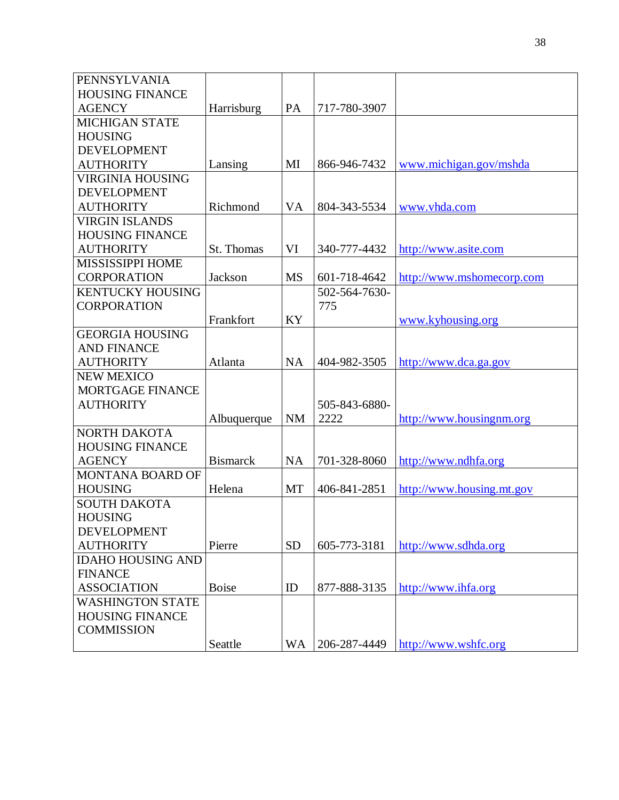| PENNSYLVANIA             |                 |           |               |                           |
|--------------------------|-----------------|-----------|---------------|---------------------------|
| <b>HOUSING FINANCE</b>   |                 |           |               |                           |
| <b>AGENCY</b>            | Harrisburg      | PA        | 717-780-3907  |                           |
| <b>MICHIGAN STATE</b>    |                 |           |               |                           |
| <b>HOUSING</b>           |                 |           |               |                           |
| <b>DEVELOPMENT</b>       |                 |           |               |                           |
| <b>AUTHORITY</b>         | Lansing         | MI        | 866-946-7432  | www.michigan.gov/mshda    |
| <b>VIRGINIA HOUSING</b>  |                 |           |               |                           |
| <b>DEVELOPMENT</b>       |                 |           |               |                           |
| <b>AUTHORITY</b>         | Richmond        | <b>VA</b> | 804-343-5534  | www.vhda.com              |
| <b>VIRGIN ISLANDS</b>    |                 |           |               |                           |
| <b>HOUSING FINANCE</b>   |                 |           |               |                           |
| <b>AUTHORITY</b>         | St. Thomas      | VI        | 340-777-4432  | http://www.asite.com      |
| MISSISSIPPI HOME         |                 |           |               |                           |
| <b>CORPORATION</b>       | Jackson         | <b>MS</b> | 601-718-4642  | http://www.mshome.com     |
| <b>KENTUCKY HOUSING</b>  |                 |           | 502-564-7630- |                           |
| <b>CORPORATION</b>       |                 |           | 775           |                           |
|                          | Frankfort       | KY        |               | www.kyhousing.org         |
| <b>GEORGIA HOUSING</b>   |                 |           |               |                           |
| <b>AND FINANCE</b>       |                 |           |               |                           |
| <b>AUTHORITY</b>         | Atlanta         | <b>NA</b> | 404-982-3505  | http://www.dca.ga.gov     |
| <b>NEW MEXICO</b>        |                 |           |               |                           |
| MORTGAGE FINANCE         |                 |           |               |                           |
| <b>AUTHORITY</b>         |                 |           | 505-843-6880- |                           |
|                          | Albuquerque     | <b>NM</b> | 2222          | http://www.housingnm.org  |
| NORTH DAKOTA             |                 |           |               |                           |
| <b>HOUSING FINANCE</b>   |                 |           |               |                           |
| <b>AGENCY</b>            | <b>Bismarck</b> | <b>NA</b> | 701-328-8060  | http://www.ndhfa.org      |
| MONTANA BOARD OF         |                 |           |               |                           |
| <b>HOUSING</b>           | Helena          | MT        | 406-841-2851  | http://www.housing.mt.gov |
| <b>SOUTH DAKOTA</b>      |                 |           |               |                           |
| <b>HOUSING</b>           |                 |           |               |                           |
| <b>DEVELOPMENT</b>       |                 |           |               |                           |
| <b>AUTHORITY</b>         | Pierre          | <b>SD</b> | 605-773-3181  | http://www.sdhda.org      |
| <b>IDAHO HOUSING AND</b> |                 |           |               |                           |
| <b>FINANCE</b>           |                 |           |               |                           |
| <b>ASSOCIATION</b>       | <b>Boise</b>    | ID        | 877-888-3135  | http://www.ihfa.org       |
| <b>WASHINGTON STATE</b>  |                 |           |               |                           |
| <b>HOUSING FINANCE</b>   |                 |           |               |                           |
| <b>COMMISSION</b>        |                 |           |               |                           |
|                          | Seattle         | <b>WA</b> | 206-287-4449  | http://www.wshfc.org      |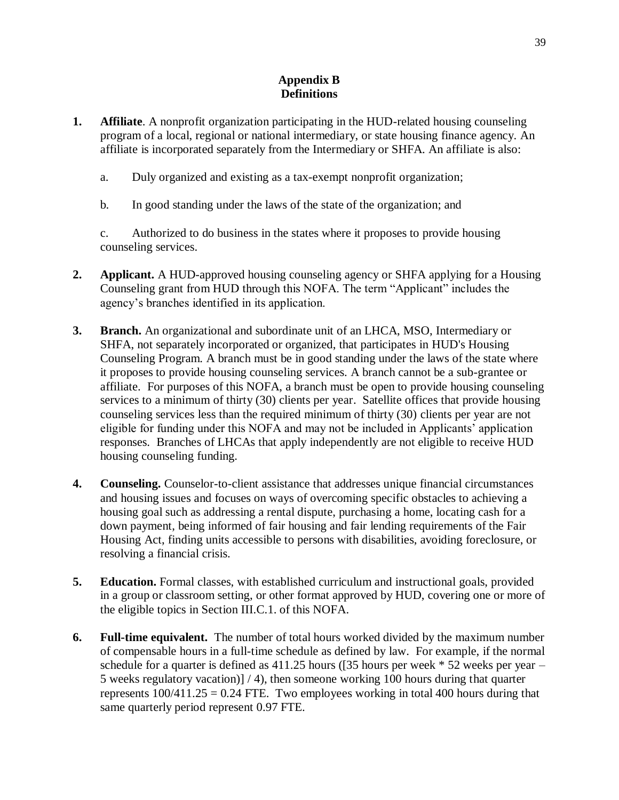### **Appendix B Definitions**

- **1. Affiliate**. A nonprofit organization participating in the HUD-related housing counseling program of a local, regional or national intermediary, or state housing finance agency. An affiliate is incorporated separately from the Intermediary or SHFA. An affiliate is also:
	- a. Duly organized and existing as a tax-exempt nonprofit organization;
	- b. In good standing under the laws of the state of the organization; and

c. Authorized to do business in the states where it proposes to provide housing counseling services.

- **2. Applicant.** A HUD-approved housing counseling agency or SHFA applying for a Housing Counseling grant from HUD through this NOFA. The term "Applicant" includes the agency's branches identified in its application.
- **3. Branch.** An organizational and subordinate unit of an LHCA, MSO, Intermediary or SHFA, not separately incorporated or organized, that participates in HUD's Housing Counseling Program. A branch must be in good standing under the laws of the state where it proposes to provide housing counseling services. A branch cannot be a sub-grantee or affiliate. For purposes of this NOFA, a branch must be open to provide housing counseling services to a minimum of thirty (30) clients per year. Satellite offices that provide housing counseling services less than the required minimum of thirty (30) clients per year are not eligible for funding under this NOFA and may not be included in Applicants' application responses. Branches of LHCAs that apply independently are not eligible to receive HUD housing counseling funding.
- **4. Counseling.** Counselor-to-client assistance that addresses unique financial circumstances and housing issues and focuses on ways of overcoming specific obstacles to achieving a housing goal such as addressing a rental dispute, purchasing a home, locating cash for a down payment, being informed of fair housing and fair lending requirements of the Fair Housing Act, finding units accessible to persons with disabilities, avoiding foreclosure, or resolving a financial crisis.
- **5. Education.** Formal classes, with established curriculum and instructional goals, provided in a group or classroom setting, or other format approved by HUD, covering one or more of the eligible topics in Section III.C.1. of this NOFA.
- **6. Full-time equivalent.** The number of total hours worked divided by the maximum number of compensable hours in a full-time schedule as defined by law. For example, if the normal schedule for a quarter is defined as  $411.25$  hours ([35 hours per week  $*$  52 weeks per year – 5 weeks regulatory vacation)] / 4), then someone working 100 hours during that quarter represents  $100/411.25 = 0.24$  FTE. Two employees working in total 400 hours during that same quarterly period represent 0.97 FTE.